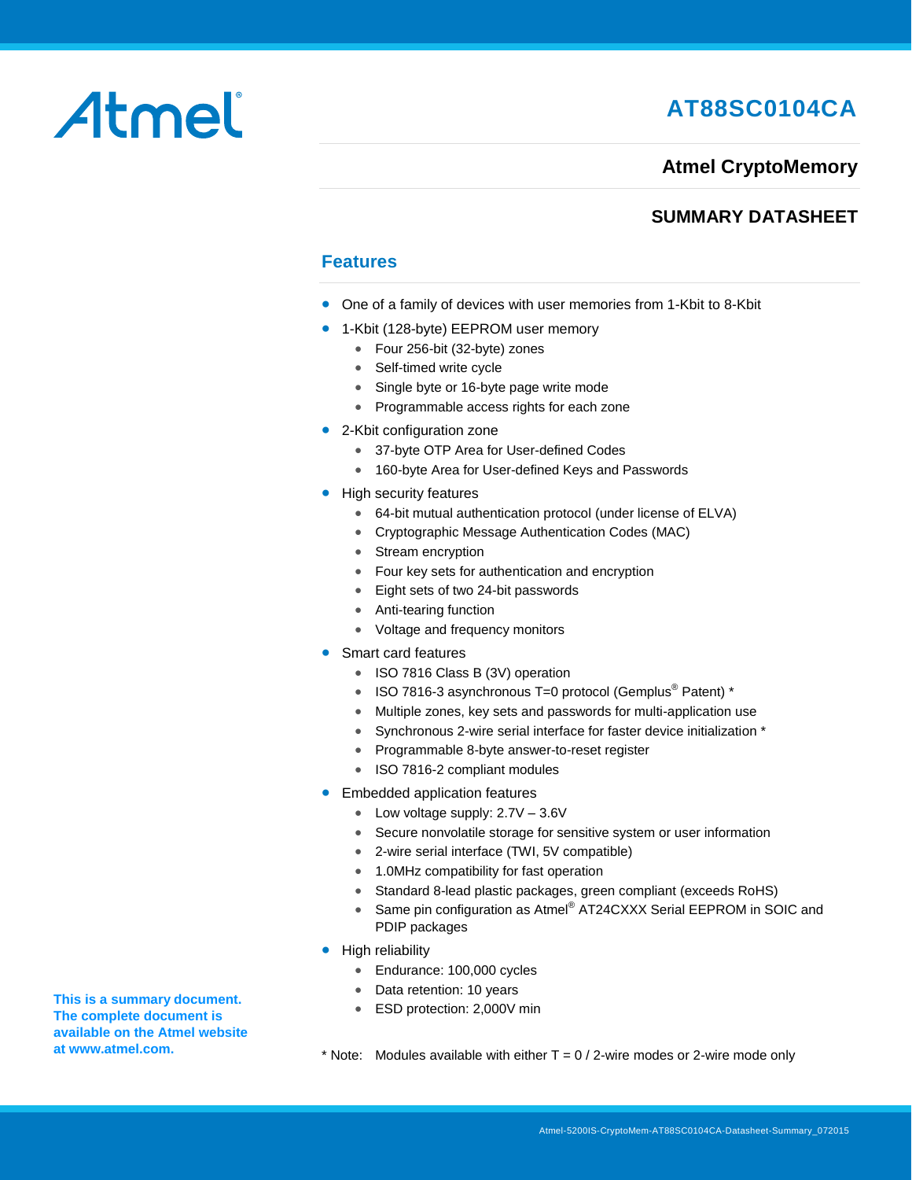# **AT88SC0104CA**

### **Atmel CryptoMemory**

### **SUMMARY DATASHEET**

### **Features**

- One of a family of devices with user memories from 1-Kbit to 8-Kbit
- 1-Kbit (128-byte) EEPROM user memory
	- Four 256-bit (32-byte) zones
	- Self-timed write cycle
	- Single byte or 16-byte page write mode
	- Programmable access rights for each zone
- 2-Kbit configuration zone
	- 37-byte OTP Area for User-defined Codes
	- 160-byte Area for User-defined Keys and Passwords
- High security features
	- 64-bit mutual authentication protocol (under license of ELVA)
	- Cryptographic Message Authentication Codes (MAC)
	- Stream encryption
	- Four key sets for authentication and encryption
	- Eight sets of two 24-bit passwords
	- Anti-tearing function
	- Voltage and frequency monitors
- Smart card features
	- ISO 7816 Class B (3V) operation
	- ISO 7816-3 asynchronous T=0 protocol (Gemplus<sup>®</sup> Patent) \*
	- Multiple zones, key sets and passwords for multi-application use
	- Synchronous 2-wire serial interface for faster device initialization \*
	- Programmable 8-byte answer-to-reset register
	- ISO 7816-2 compliant modules
- **•** Embedded application features
	- Low voltage supply:  $2.7V 3.6V$
	- Secure nonvolatile storage for sensitive system or user information
	- 2-wire serial interface (TWI, 5V compatible)
	- 1.0MHz compatibility for fast operation
	- Standard 8-lead plastic packages, green compliant (exceeds RoHS)
	- Same pin configuration as Atmel® AT24CXXX Serial EEPROM in SOIC and PDIP packages
- High reliability
	- Endurance: 100,000 cycles
	- Data retention: 10 years
	- ESD protection: 2,000V min
- \* Note: Modules available with either  $T = 0/2$ -wire modes or 2-wire mode only

**This is a summary document. The complete document is available on the Atmel website a[t www.atmel.com.](http://www.atmel.com/)** 

Atmel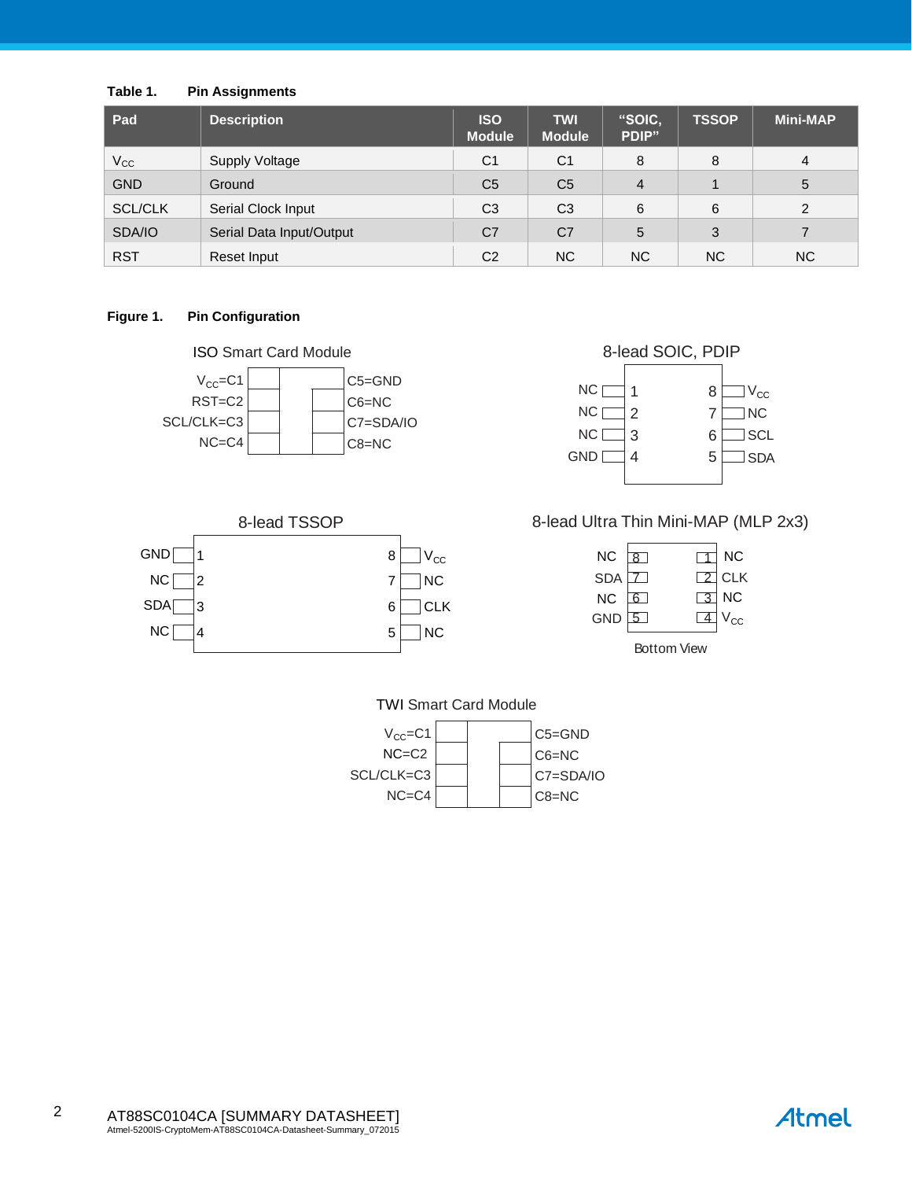### **Table 1. Pin Assignments**

| Pad            | <b>Description</b>       | <b>ISO</b><br><b>Module</b> | <b>TWI</b><br><b>Module</b> | "SOIC,<br>PDIP" | <b>TSSOP</b> | <b>Mini-MAP</b> |
|----------------|--------------------------|-----------------------------|-----------------------------|-----------------|--------------|-----------------|
| $V_{\rm CC}$   | <b>Supply Voltage</b>    | C <sub>1</sub>              | C <sub>1</sub>              | 8               | 8            | 4               |
| <b>GND</b>     | Ground                   | C <sub>5</sub>              | C <sub>5</sub>              | 4               |              | 5               |
| <b>SCL/CLK</b> | Serial Clock Input       | C <sub>3</sub>              | C <sub>3</sub>              | 6               | 6            | 2               |
| SDA/IO         | Serial Data Input/Output | C <sub>7</sub>              | C <sub>7</sub>              | 5               | 3            |                 |
| <b>RST</b>     | Reset Input              | C <sub>2</sub>              | NC.                         | NC.             | NC.          | NC.             |

### **Figure 1. Pin Configuration**



#### 1 2 3 4 8 7 6 5 8-lead SOIC, PDIP **NC** [ NC [ NC [ GND [  $\Box$  V<sub>CC</sub>  $\Box$ NC  $\Box$  SCL  $\Box$  SDA



### 8-lead Ultra Thin Mini-MAP (MLP 2x3)

| NC . | $\overline{8}$ |            | <b>NC</b>       |
|------|----------------|------------|-----------------|
| SDA  |                |            | $\boxed{2}$ CLK |
| NC   | 6 I            | $\sqrt{3}$ | ∫ NC            |
| GND  | 15 I           |            | $V_{\rm CC}$    |
|      |                |            |                 |

Bottom View





Atmel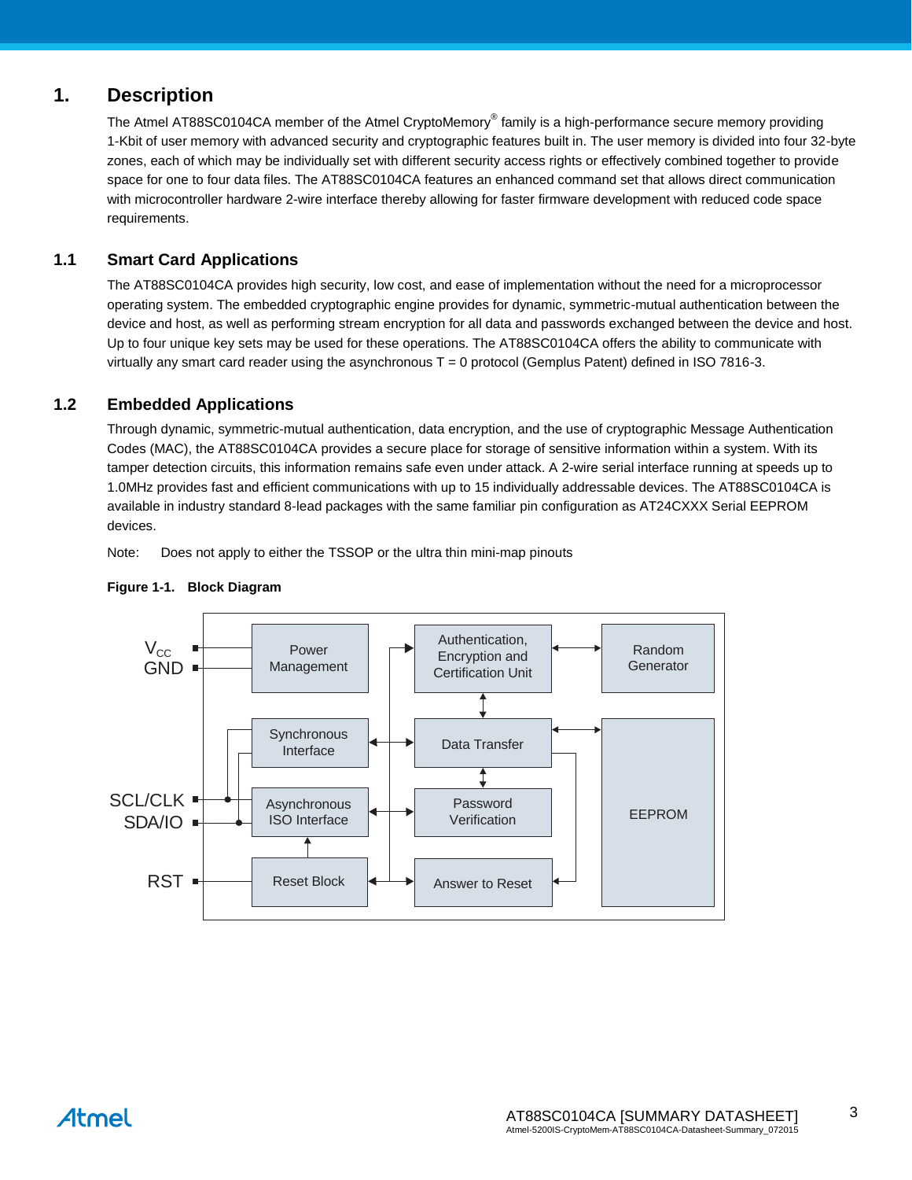### **1. Description**

The [Atmel](https://www.cardlogix.com/product-category/sort-by-manufacturer/atmel-corporation-memory-cryptomemory-smart-cards/) [AT88SC0104CA](https://www.cardlogix.com/product/atmel-at88sc0104ca-cryptomemory-smart-card-copy/) member of the Atmel [CryptoMemory](https://www.cardlogix.com/product-tag/cryptomemory/)® family is a high-performance [secure memory](https://www.cardlogix.com/product-category/smart-cards/memory-cards/protected-memory-cards/) providing 1-Kbit of user memory with advanced security and cryptographic features built in. The user memory is divided into four 32-byte zones, each of which may be individually set with different security access rights or effectively combined together to provide space for one to four data files. The AT88SC0104CA features an enhanced command set that allows direct communication with microcontroller hardware 2-wire interface thereby allowing for faster firmware development with reduced code space requirements.

### **1.1 [Smart Card](https://www.cardlogix.com/product-category/smart-cards/) [Applications](https://www.cardlogix.com/product/smart-card-application-development-kit-mifare/)**

The AT88SC0104CA provides high security, low cost, and ease of implementation without the need for a microprocessor operating system. The embedded cryptographic engine provides for dynamic, symmetric-mutual authentication between the device and host, as well as performing stream encryption for all data and passwords exchanged between the device and host. Up to four unique key sets may be used for these operations. The AT88SC0104CA offers the ability to communicate with virtually any smart card reader using the asynchronous T = 0 protocol (Gemplus Patent) defined in ISO 7816-3.

### **1.2 Embedded Applications**

Through dynamic, symmetric-mutual authentication, data encryption, and the use of cryptographic Message Authentication Codes (MAC), the AT88SC0104CA provides a secure place for storage of sensitive information within a system. With its tamper detection circuits, this information remains safe even under attack. A 2-wire serial interface running at speeds up to 1.0MHz provides fast and efficient communications with up to 15 individually addressable devices. The AT88SC0104CA is available in industry standard 8-lead packages with the same familiar pin configuration as AT24CXXX Serial EEPROM devices.

Note: Does not apply to either the TSSOP or the ultra thin mini-map pinouts



### **Figure 1-1. Block Diagram**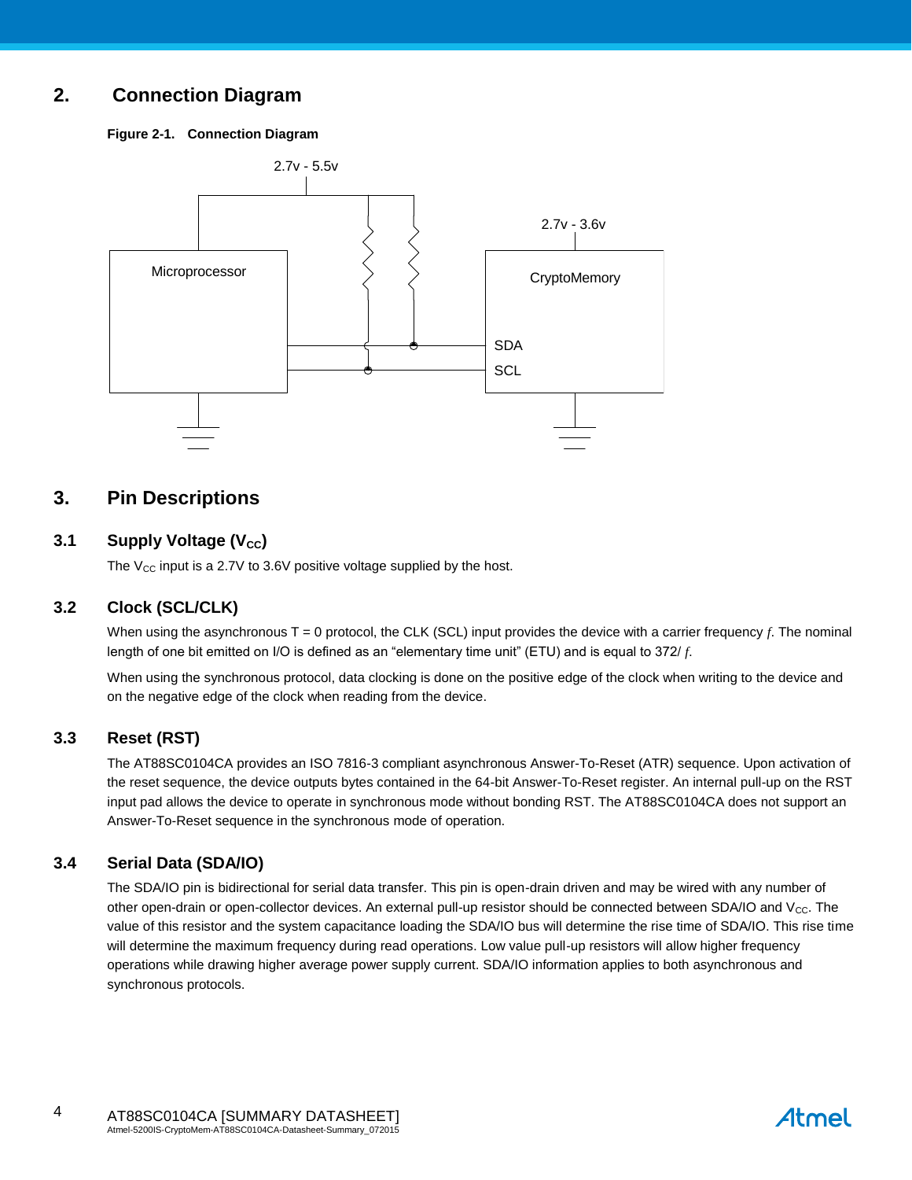### **2. Connection Diagram**

**Figure 2-1. Connection Diagram**



### **3. Pin Descriptions**

### **3.1 Supply Voltage (V<sub>cc</sub>)**

The  $V_{CC}$  input is a 2.7V to 3.6V positive voltage supplied by the host.

### **3.2 Clock (SCL/CLK)**

When using the asynchronous  $T = 0$  protocol, the CLK (SCL) input provides the device with a carrier frequency  $f$ . The nominal length of one bit emitted on I/O is defined as an "elementary time unit" (ETU) and is equal to 372/ *f*.

When using the synchronous protocol, data clocking is done on the positive edge of the clock when writing to the device and on the negative edge of the clock when reading from the device.

### **3.3 Reset (RST)**

The AT88SC0104CA provides an ISO 7816-3 compliant asynchronous Answer-To-Reset (ATR) sequence. Upon activation of the reset sequence, the device outputs bytes contained in the 64-bit Answer-To-Reset register. An internal pull-up on the RST input pad allows the device to operate in synchronous mode without bonding RST. The AT88SC0104CA does not support an Answer-To-Reset sequence in the synchronous mode of operation.

### **3.4 Serial Data (SDA/IO)**

The SDA/IO pin is bidirectional for serial data transfer. This pin is open-drain driven and may be wired with any number of other open-drain or open-collector devices. An external pull-up resistor should be connected between SDA/IO and Vcc. The value of this resistor and the system capacitance loading the SDA/IO bus will determine the rise time of SDA/IO. This rise time will determine the maximum frequency during read operations. Low value pull-up resistors will allow higher frequency operations while drawing higher average power supply current. SDA/IO information applies to both asynchronous and synchronous protocols.

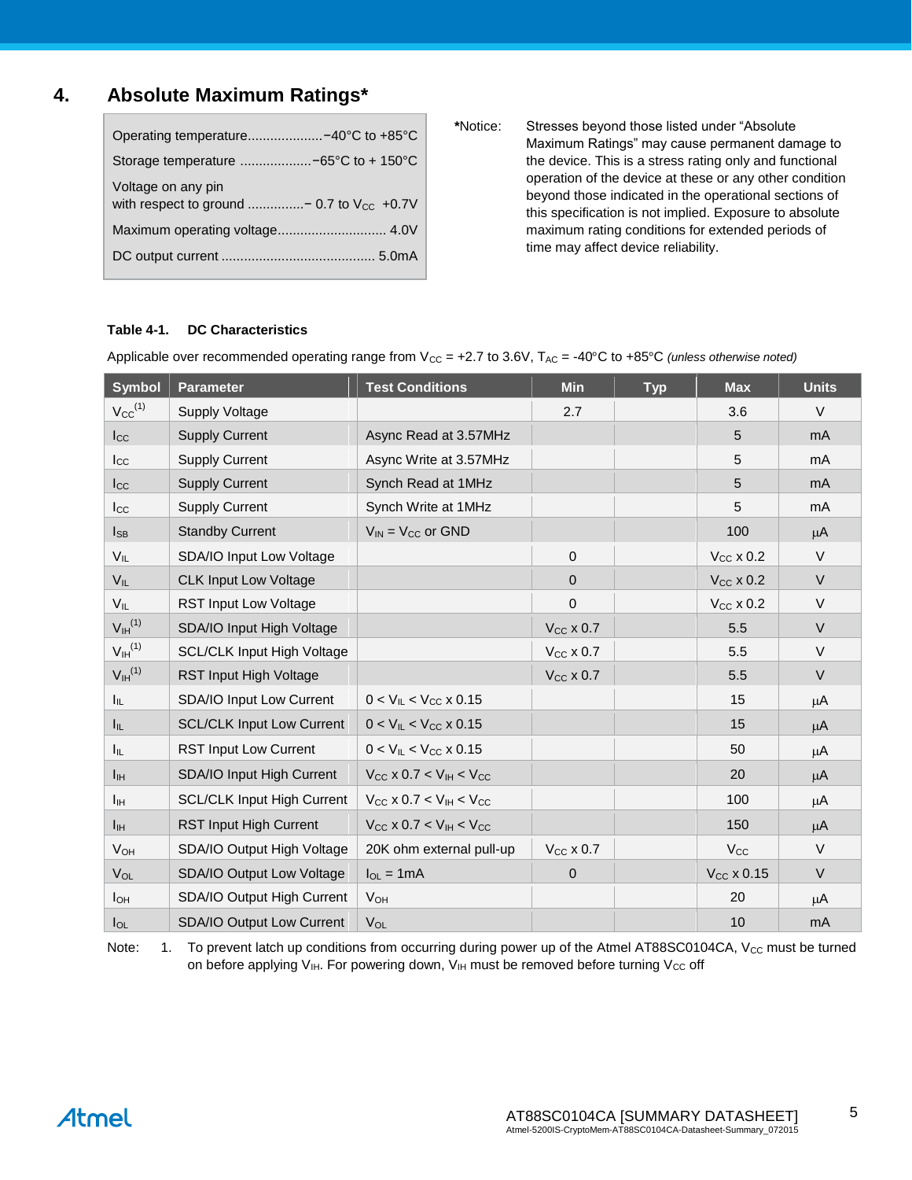### **4. Absolute Maximum Ratings\***

| Operating temperature-40°C to +85°C                                   |
|-----------------------------------------------------------------------|
| Storage temperature -65°C to + 150°C                                  |
| Voltage on any pin<br>with respect to ground  - 0.7 to $V_{CC}$ +0.7V |
| Maximum operating voltage 4.0V                                        |
|                                                                       |

**\***Notice: Stresses beyond those listed under "Absolute Maximum Ratings" may cause permanent damage to the device. This is a stress rating only and functional operation of the device at these or any other condition beyond those indicated in the operational sections of this specification is not implied. Exposure to absolute maximum rating conditions for extended periods of time may affect device reliability.

### **Table 4-1. DC Characteristics**

| <b>Symbol</b>                  | <b>Parameter</b>                  | <b>Test Conditions</b>                           | <b>Min</b>       | <b>Typ</b> | <b>Max</b>            | <b>Units</b>   |
|--------------------------------|-----------------------------------|--------------------------------------------------|------------------|------------|-----------------------|----------------|
| $V_{CC}$ <sup>(1)</sup>        | <b>Supply Voltage</b>             |                                                  | 2.7              |            | 3.6                   | $\vee$         |
| $I_{\rm CC}$                   | <b>Supply Current</b>             | Async Read at 3.57MHz                            |                  |            | 5                     | m <sub>A</sub> |
| $_{\rm lcc}$                   | <b>Supply Current</b>             | Async Write at 3.57MHz                           |                  |            | 5                     | m <sub>A</sub> |
| $_{\rm lcc}$                   | <b>Supply Current</b>             | Synch Read at 1MHz                               |                  |            | 5                     | m <sub>A</sub> |
| $I_{\rm CC}$                   | <b>Supply Current</b>             | Synch Write at 1MHz                              |                  |            | 5                     | mA             |
| $I_{SB}$                       | <b>Standby Current</b>            | $V_{IN}$ = $V_{CC}$ or GND                       |                  |            | 100                   | $\mu$ A        |
| $V_{IL}$                       | SDA/IO Input Low Voltage          |                                                  | $\boldsymbol{0}$ |            | $V_{CC}$ x 0.2        | $\vee$         |
| $V_{IL}$                       | <b>CLK Input Low Voltage</b>      |                                                  | $\mathbf 0$      |            | $V_{CC}$ x 0.2        | $\vee$         |
| $V_{IL}$                       | <b>RST Input Low Voltage</b>      |                                                  | 0                |            | $V_{CC}$ x 0.2        | $\vee$         |
| $V_{\text{IH}}^{(1)}$          | SDA/IO Input High Voltage         |                                                  | $V_{CC}$ x 0.7   |            | 5.5                   | V              |
| V <sub>IH</sub> <sup>(1)</sup> | <b>SCL/CLK Input High Voltage</b> |                                                  | $V_{CC}$ x 0.7   |            | 5.5                   | $\vee$         |
| V <sub>IH</sub> <sup>(1)</sup> | RST Input High Voltage            |                                                  | $V_{CC}$ x 0.7   |            | 5.5                   | $\vee$         |
| $I_{IL}$                       | SDA/IO Input Low Current          | $0 < V_{IL} < V_{CC}$ x 0.15                     |                  |            | 15                    | μA             |
| Ιıμ.                           | <b>SCL/CLK Input Low Current</b>  | $0 < V_{IL} < V_{CC}$ x 0.15                     |                  |            | 15                    | μA             |
| I <sub>IL</sub>                | <b>RST Input Low Current</b>      | $0 < V_{\text{IL}} < V_{\text{CC}}$ x 0.15       |                  |            | 50                    | μA             |
| $I_{\text{IH}}$                | SDA/IO Input High Current         | $V_{CC}$ x 0.7 < $V_{IH}$ < $V_{CC}$             |                  |            | 20                    | $\mu$ A        |
| $I_{\text{IH}}$                | <b>SCL/CLK Input High Current</b> | $V_{CC}$ x 0.7 < $V_{IH}$ < $V_{CC}$             |                  |            | 100                   | μA             |
| $I_{\text{IH}}$                | RST Input High Current            | $V_{\rm CC}$ x 0.7 < $V_{\rm IH}$ < $V_{\rm CC}$ |                  |            | 150                   | $\mu$ A        |
| <b>V<sub>OH</sub></b>          | SDA/IO Output High Voltage        | 20K ohm external pull-up                         | $V_{CC}$ x 0.7   |            | <b>V<sub>cc</sub></b> | $\vee$         |
| VOL                            | SDA/IO Output Low Voltage         | $I_{OL} = 1mA$                                   | $\mathbf 0$      |            | $V_{CC}$ x 0.15       | $\vee$         |
| $I_{OH}$                       | SDA/IO Output High Current        | <b>V<sub>OH</sub></b>                            |                  |            | 20                    | μA             |
| $I_{OL}$                       | SDA/IO Output Low Current         | $V_{OL}$                                         |                  |            | 10                    | mA             |

Applicable over recommended operating range from  $V_{CC}$  = +2.7 to 3.6V,  $T_{AC}$  = -40°C to +85°C *(unless otherwise noted)* 

Note: 1. To prevent latch up conditions from occurring during power up of the Atmel AT88SC0104CA, V<sub>CC</sub> must be turned on before applying  $V_{\text{IH}}$ . For powering down,  $V_{\text{IH}}$  must be removed before turning  $V_{\text{CC}}$  off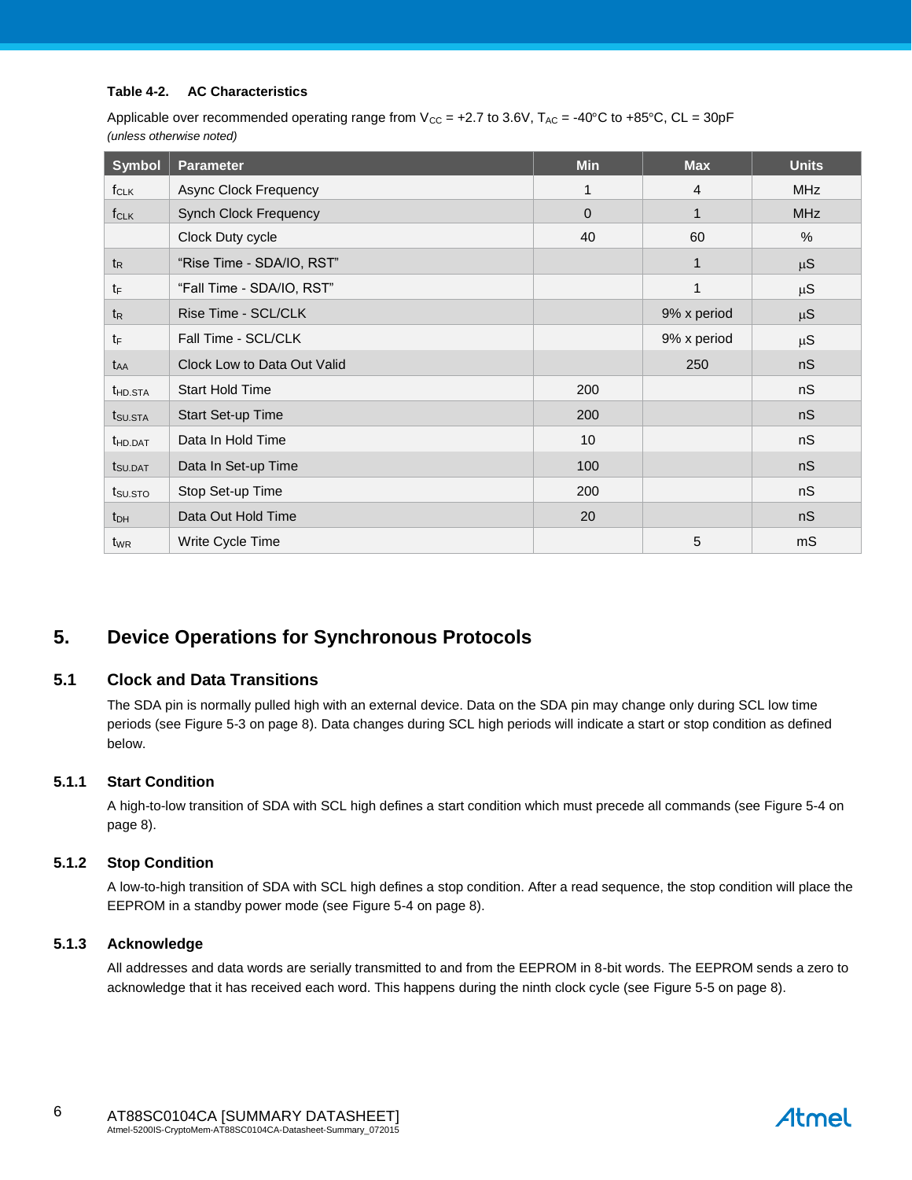#### **Table 4-2. AC Characteristics**

Applicable over recommended operating range from  $V_{CC}$  = +2.7 to 3.6V,  $T_{AC}$  = -40°C to +85°C, CL = 30pF *(unless otherwise noted)*

| <b>Symbol</b>       | <b>Parameter</b>             | <b>Min</b>   | <b>Max</b>   | <b>Units</b> |
|---------------------|------------------------------|--------------|--------------|--------------|
| $f_{CLK}$           | Async Clock Frequency        | 1            | 4            | <b>MHz</b>   |
| $f_{CLK}$           | <b>Synch Clock Frequency</b> | $\mathbf{0}$ | 1            | <b>MHz</b>   |
|                     | Clock Duty cycle             | 40           | 60           | %            |
| $t_{R}$             | "Rise Time - SDA/IO, RST"    |              | $\mathbf{1}$ | $\mu S$      |
| $t_{\mathsf{F}}$    | "Fall Time - SDA/IO, RST"    |              | 1            | $\mu S$      |
| $t_{R}$             | Rise Time - SCL/CLK          |              | 9% x period  | $\mu S$      |
| $t_{\text{F}}$      | Fall Time - SCL/CLK          |              | 9% x period  | $\mu S$      |
| t <sub>AA</sub>     | Clock Low to Data Out Valid  |              | 250          | nS           |
| t <sub>HD.STA</sub> | <b>Start Hold Time</b>       | 200          |              | nS           |
| t <sub>SU.STA</sub> | Start Set-up Time            | 200          |              | nS           |
| <b>t</b> HD.DAT     | Data In Hold Time            | 10           |              | nS           |
| t <sub>SU.DAT</sub> | Data In Set-up Time          | 100          |              | nS           |
| t <sub>su.sto</sub> | Stop Set-up Time             | 200          |              | nS           |
| $t_{DH}$            | Data Out Hold Time           | 20           |              | nS           |
| t <sub>WR</sub>     | Write Cycle Time             |              | 5            | mS           |

### **5. Device Operations for Synchronous Protocols**

### **5.1 Clock and Data Transitions**

The SDA pin is normally pulled high with an external device. Data on the SDA pin may change only during SCL low time periods (see [Figure 5-3](#page-7-0) on pag[e 8\)](#page-7-0). Data changes during SCL high periods will indicate a start or stop condition as defined below.

### **5.1.1 Start Condition**

A high-to-low transition of SDA with SCL high defines a start condition which must precede all commands (see [Figure 5-4](#page-7-1) on pag[e 8\)](#page-7-1).

### **5.1.2 Stop Condition**

A low-to-high transition of SDA with SCL high defines a stop condition. After a read sequence, the stop condition will place the EEPROM in a standby power mode (see [Figure 5-4](#page-7-1) on page [8\)](#page-7-1).

### **5.1.3 Acknowledge**

All addresses and data words are serially transmitted to and from the EEPROM in 8-bit words. The EEPROM sends a zero to acknowledge that it has received each word. This happens during the ninth clock cycle (se[e Figure 5-5](#page-7-2) on page [8\)](#page-7-2).

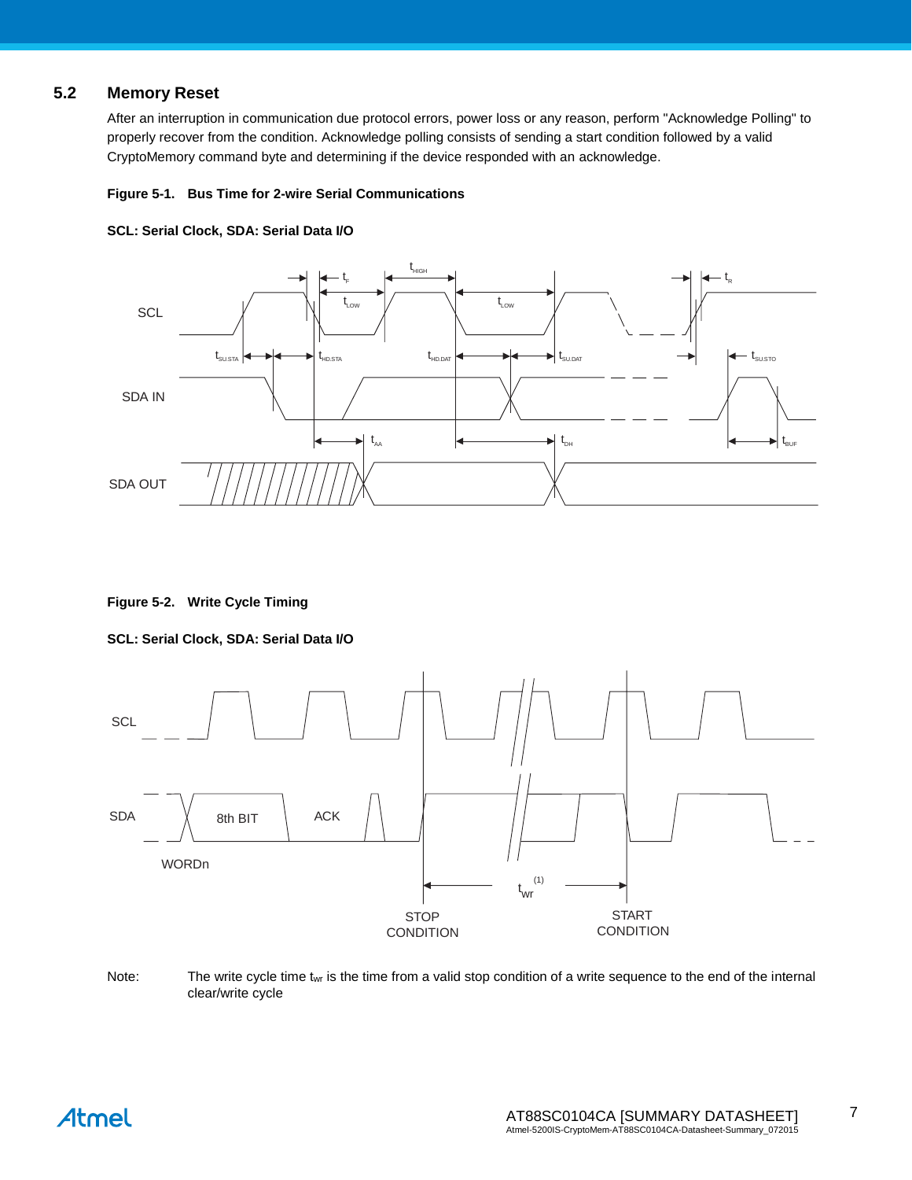### **5.2 Memory Reset**

After an interruption in communication due protocol errors, power loss or any reason, perform "Acknowledge Polling" to properly recover from the condition. Acknowledge polling consists of sending a start condition followed by a valid CryptoMemory command byte and determining if the device responded with an acknowledge.

#### **Figure 5-1. Bus Time for 2-wire Serial Communications**





**Figure 5-2. Write Cycle Timing**

### **SCL: Serial Clock, SDA: Serial Data I/O**



Note: The write cycle time  $t_{wr}$  is the time from a valid stop condition of a write sequence to the end of the internal clear/write cycle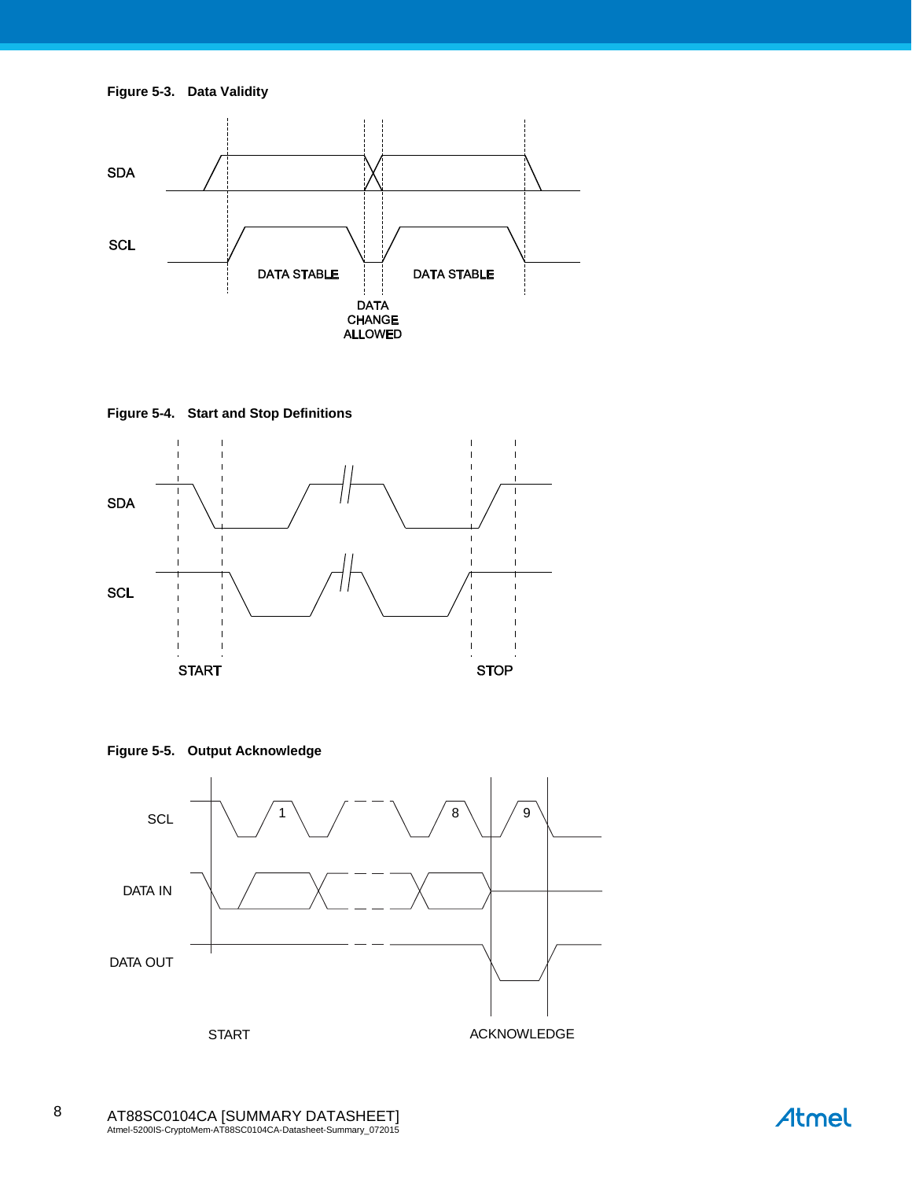**Figure 5-3. Data Validity**

<span id="page-7-0"></span>

**Figure 5-4. Start and Stop Definitions**

<span id="page-7-1"></span>

**Figure 5-5. Output Acknowledge**

<span id="page-7-2"></span>

8

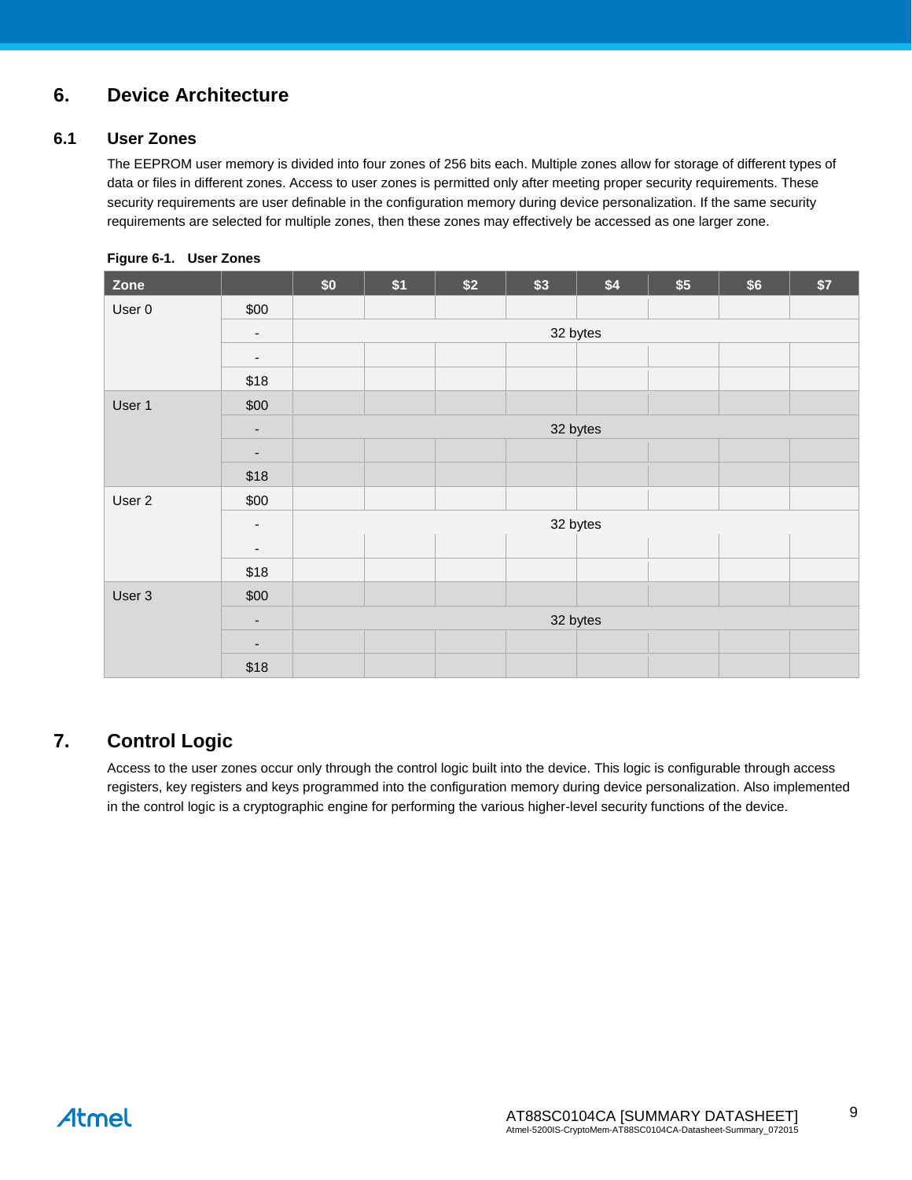### **6. Device Architecture**

### **6.1 User Zones**

The EEPROM user memory is divided into four zones of 256 bits each. Multiple zones allow for storage of different types of data or files in different zones. Access to user zones is permitted only after meeting proper security requirements. These security requirements are user definable in the configuration memory during device personalization. If the same security requirements are selected for multiple zones, then these zones may effectively be accessed as one larger zone.

| Zone   |                          | $$0$$    | \$1 | \$2 | \$3 | \$4      | \$5 | \$6 | \$7 |  |  |  |
|--------|--------------------------|----------|-----|-----|-----|----------|-----|-----|-----|--|--|--|
| User 0 | \$00                     |          |     |     |     |          |     |     |     |  |  |  |
|        | $\overline{\phantom{a}}$ |          |     |     |     | 32 bytes |     |     |     |  |  |  |
|        | $\overline{\phantom{a}}$ |          |     |     |     |          |     |     |     |  |  |  |
|        | \$18                     |          |     |     |     |          |     |     |     |  |  |  |
| User 1 | \$00                     |          |     |     |     |          |     |     |     |  |  |  |
|        | $\overline{\phantom{a}}$ |          |     |     |     | 32 bytes |     |     |     |  |  |  |
|        | $\overline{\phantom{a}}$ |          |     |     |     |          |     |     |     |  |  |  |
|        | \$18                     |          |     |     |     |          |     |     |     |  |  |  |
| User 2 | \$00                     |          |     |     |     |          |     |     |     |  |  |  |
|        | $\overline{\phantom{a}}$ | 32 bytes |     |     |     |          |     |     |     |  |  |  |
|        | $\overline{\phantom{a}}$ |          |     |     |     |          |     |     |     |  |  |  |
|        | \$18                     |          |     |     |     |          |     |     |     |  |  |  |
| User 3 | \$00                     |          |     |     |     |          |     |     |     |  |  |  |
|        | $\overline{\phantom{a}}$ |          |     |     |     | 32 bytes |     |     |     |  |  |  |
|        | $\overline{\phantom{a}}$ |          |     |     |     |          |     |     |     |  |  |  |
|        | \$18                     |          |     |     |     |          |     |     |     |  |  |  |

**Figure 6-1. User Zones**

### **7. Control Logic**

Access to the user zones occur only through the control logic built into the device. This logic is configurable through access registers, key registers and keys programmed into the configuration memory during device personalization. Also implemented in the control logic is a cryptographic engine for performing the various higher-level security functions of the device.

9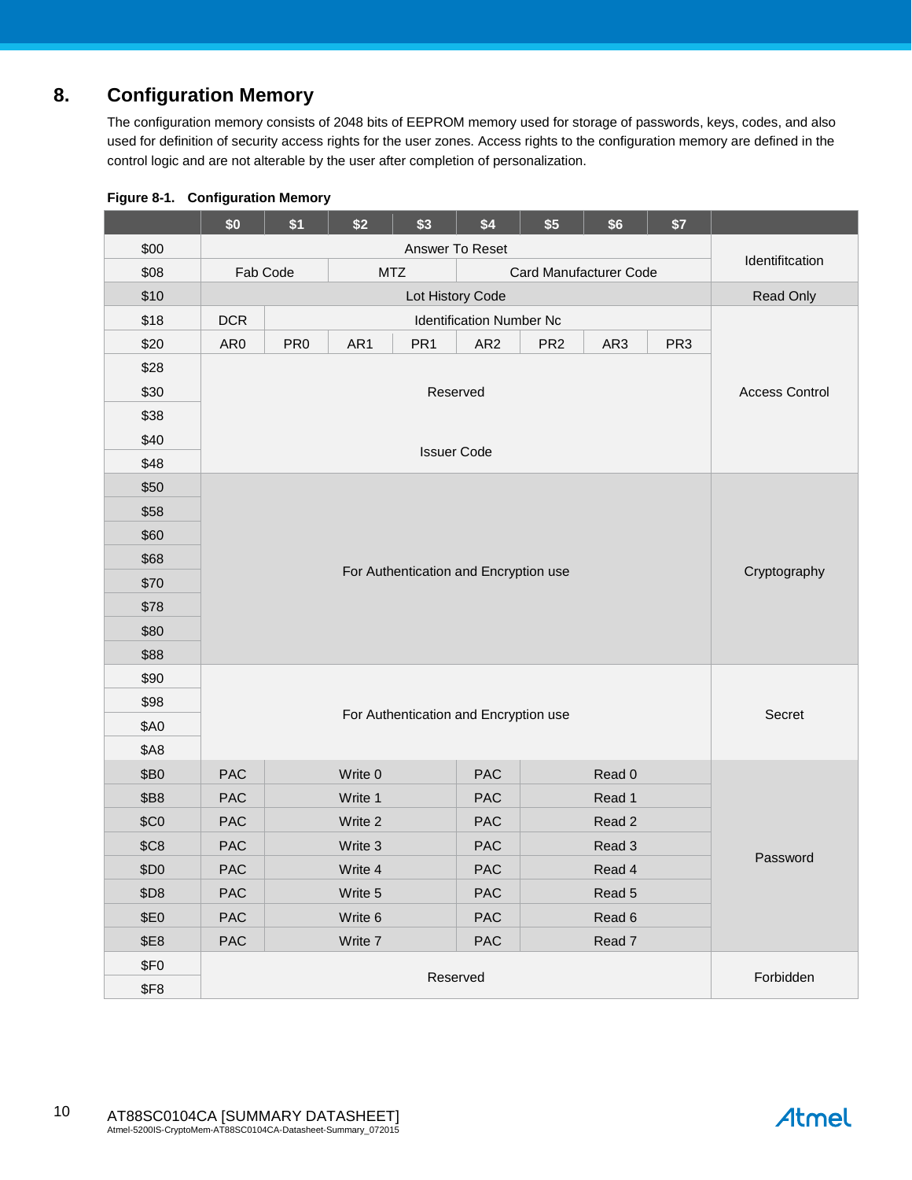# **8. Configuration Memory**

The configuration memory consists of 2048 bits of EEPROM memory used for storage of passwords, keys, codes, and also used for definition of security access rights for the user zones. Access rights to the configuration memory are defined in the control logic and are not alterable by the user after completion of personalization.

|                  | \$0                                              | \$1             | \$2     | \$3             | \$4                                   | \$5             | \$6    | \$7             |                       |  |
|------------------|--------------------------------------------------|-----------------|---------|-----------------|---------------------------------------|-----------------|--------|-----------------|-----------------------|--|
| \$00             | Answer To Reset                                  |                 |         |                 |                                       |                 |        |                 |                       |  |
| \$08             | Fab Code<br><b>MTZ</b><br>Card Manufacturer Code |                 |         |                 |                                       |                 |        | Identifitcation |                       |  |
| \$10             |                                                  |                 |         |                 | Lot History Code                      |                 |        |                 | Read Only             |  |
| \$18             | <b>DCR</b>                                       |                 |         |                 | <b>Identification Number Nc</b>       |                 |        |                 |                       |  |
| \$20             | AR0                                              | PR <sub>0</sub> | AR1     | PR <sub>1</sub> | AR <sub>2</sub>                       | PR <sub>2</sub> | AR3    | PR <sub>3</sub> |                       |  |
| \$28             |                                                  |                 |         |                 |                                       |                 |        |                 |                       |  |
| \$30             | Reserved                                         |                 |         |                 |                                       |                 |        |                 | <b>Access Control</b> |  |
| \$38             |                                                  |                 |         |                 |                                       |                 |        |                 |                       |  |
| \$40             |                                                  |                 |         |                 |                                       |                 |        |                 |                       |  |
| \$48             |                                                  |                 |         |                 | <b>Issuer Code</b>                    |                 |        |                 |                       |  |
| \$50             |                                                  |                 |         |                 |                                       |                 |        |                 |                       |  |
| \$58             |                                                  |                 |         |                 |                                       |                 |        |                 |                       |  |
| \$60             |                                                  |                 |         |                 |                                       |                 |        |                 |                       |  |
| \$68             |                                                  |                 |         |                 |                                       |                 |        |                 |                       |  |
| \$70             | For Authentication and Encryption use            |                 |         |                 |                                       |                 |        | Cryptography    |                       |  |
| \$78             |                                                  |                 |         |                 |                                       |                 |        |                 |                       |  |
| \$80             |                                                  |                 |         |                 |                                       |                 |        |                 |                       |  |
| \$88             |                                                  |                 |         |                 |                                       |                 |        |                 |                       |  |
| \$90             |                                                  |                 |         |                 |                                       |                 |        |                 |                       |  |
| \$98             |                                                  |                 |         |                 |                                       |                 |        |                 |                       |  |
| \$A0             |                                                  |                 |         |                 | For Authentication and Encryption use |                 |        |                 | Secret                |  |
| <b>\$A8</b>      |                                                  |                 |         |                 |                                       |                 |        |                 |                       |  |
| \$B0             | <b>PAC</b>                                       |                 | Write 0 |                 | <b>PAC</b>                            |                 | Read 0 |                 |                       |  |
| \$B8             | <b>PAC</b>                                       |                 | Write 1 |                 | PAC                                   |                 | Read 1 |                 |                       |  |
| \$CO             | <b>PAC</b>                                       |                 | Write 2 |                 | PAC                                   |                 | Read 2 |                 |                       |  |
| \$C8             | PAC                                              |                 | Write 3 |                 | PAC                                   |                 | Read 3 |                 |                       |  |
| \$D0             | PAC                                              |                 | Write 4 |                 | PAC                                   |                 | Read 4 |                 | Password              |  |
| \$D8             | PAC                                              |                 | Write 5 |                 | PAC                                   |                 | Read 5 |                 |                       |  |
| \$E0             | PAC                                              |                 | Write 6 |                 | PAC                                   |                 | Read 6 |                 |                       |  |
| \$E8             | PAC                                              |                 | Write 7 |                 | PAC                                   |                 | Read 7 |                 |                       |  |
| \$F <sub>0</sub> |                                                  |                 |         |                 |                                       |                 |        |                 |                       |  |
| <b>\$F8</b>      |                                                  |                 |         |                 | Reserved                              |                 |        |                 | Forbidden             |  |

### **Figure 8-1. Configuration Memory**

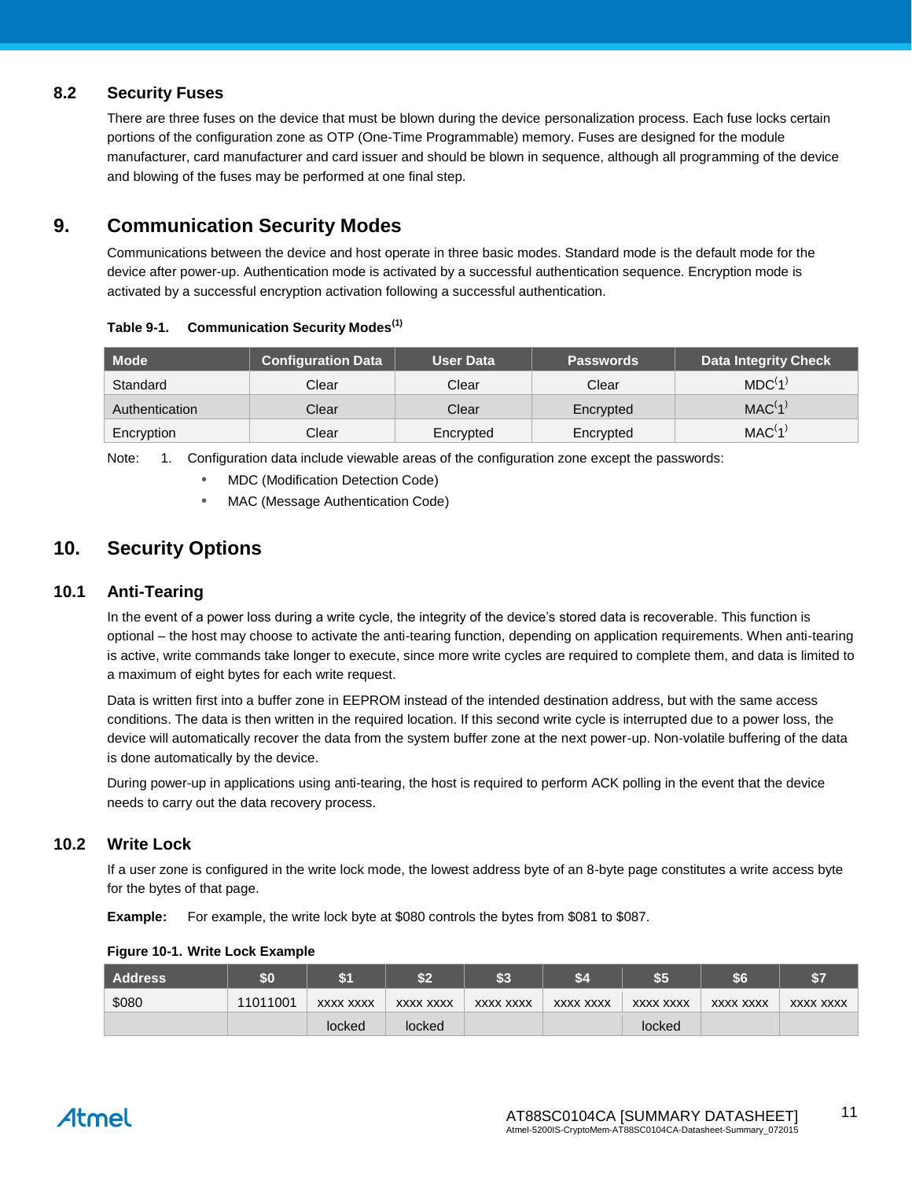### **8.2 Security Fuses**

There are three fuses on the device that must be blown during the device personalization process. Each fuse locks certain portions of the configuration zone as OTP (One-Time Programmable) memory. Fuses are designed for the module manufacturer, card manufacturer and card issuer and should be blown in sequence, although all programming of the device and blowing of the fuses may be performed at one final step.

### **9. Communication Security Modes**

Communications between the device and host operate in three basic modes. Standard mode is the default mode for the device after power-up. Authentication mode is activated by a successful authentication sequence. Encryption mode is activated by a successful encryption activation following a successful authentication.

| <b>Mode</b>    | <b>Configuration Data</b> | <b>User Data</b> | <b>Passwords</b> | Data Integrity Check |
|----------------|---------------------------|------------------|------------------|----------------------|
| Standard       | Clear                     | Clear            | Clear            | MDC <sup>(1)</sup>   |
| Authentication | Clear                     | Clear            | Encrypted        | MAC <sup>(1)</sup>   |
| Encryption     | Clear                     | Encrypted        | Encrypted        | MAC(1)               |

#### **Table 9-1. Communication Security Modes(1)**

<span id="page-10-0"></span>Note: 1. Configuration data include viewable areas of the configuration zone except the passwords:

MDC (Modification Detection Code)

MAC (Message Authentication Code)

### **10. Security Options**

### **10.1 Anti-Tearing**

In the event of a power loss during a write cycle, the integrity of the device's stored data is recoverable. This function is optional – the host may choose to activate the anti-tearing function, depending on application requirements. When anti-tearing is active, write commands take longer to execute, since more write cycles are required to complete them, and data is limited to a maximum of eight bytes for each write request.

Data is written first into a buffer zone in EEPROM instead of the intended destination address, but with the same access conditions. The data is then written in the required location. If this second write cycle is interrupted due to a power loss, the device will automatically recover the data from the system buffer zone at the next power-up. Non-volatile buffering of the data is done automatically by the device.

During power-up in applications using anti-tearing, the host is required to perform ACK polling in the event that the device needs to carry out the data recovery process.

### **10.2 Write Lock**

If a user zone is configured in the write lock mode, the lowest address byte of an 8-byte page constitutes a write access byte for the bytes of that page.

**Example:** For example, the write lock byte at \$080 controls the bytes from \$081 to \$087.

| Address | \$0      |           | ĉ٥<br><u> 74</u> | \$3       | \$4              | \$5       | \$6       | $6 -$     |
|---------|----------|-----------|------------------|-----------|------------------|-----------|-----------|-----------|
| \$080   | 11011001 | XXXX XXXX | XXXX XXXX        | XXXX XXXX | <b>XXXX XXXX</b> | XXXX XXXX | XXXX XXXX | XXXX XXXX |
|         |          | locked    | locked           |           |                  | locked    |           |           |

#### **Figure 10-1. Write Lock Example**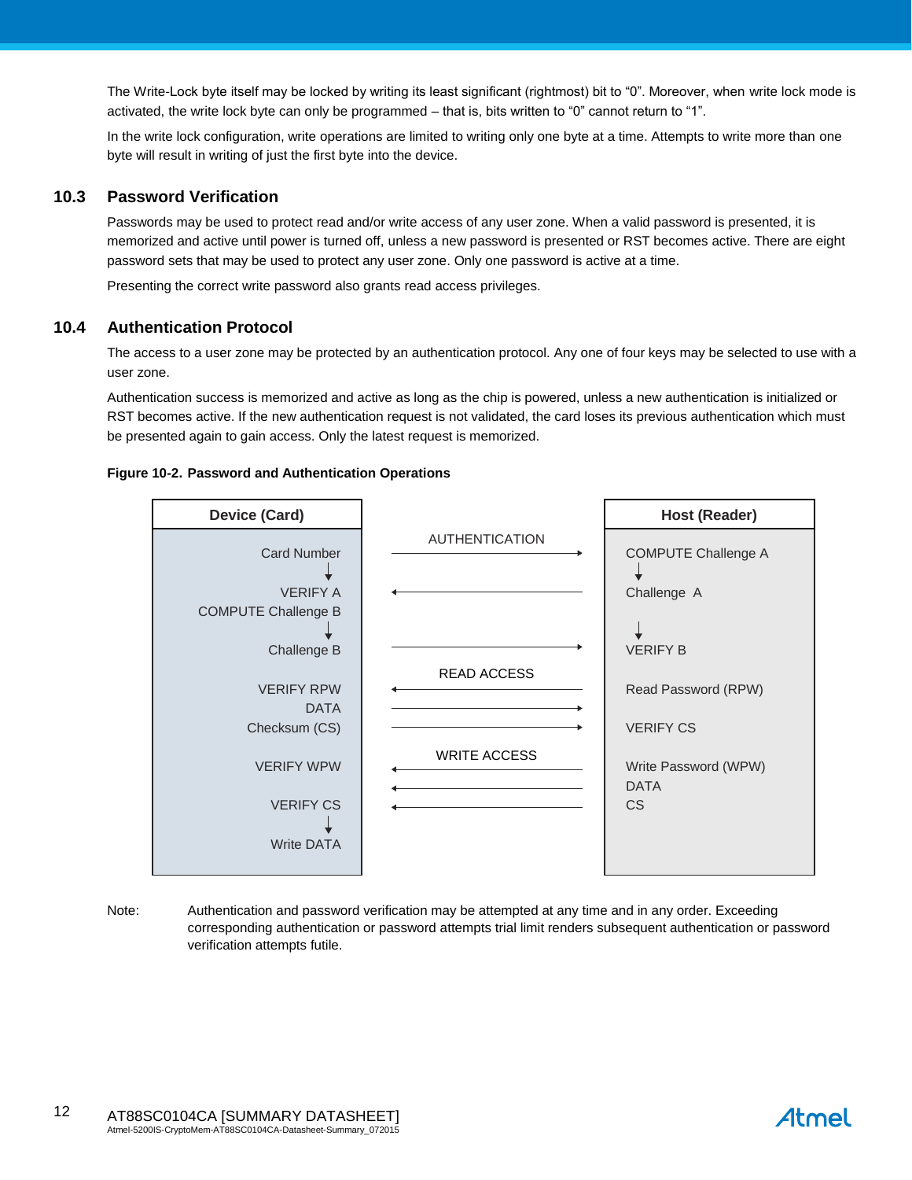The Write-Lock byte itself may be locked by writing its least significant (rightmost) bit to "0". Moreover, when write lock mode is activated, the write lock byte can only be programmed – that is, bits written to "0" cannot return to "1".

In the write lock configuration, write operations are limited to writing only one byte at a time. Attempts to write more than one byte will result in writing of just the first byte into the device.

### **10.3 Password Verification**

Passwords may be used to protect read and/or write access of any user zone. When a valid password is presented, it is memorized and active until power is turned off, unless a new password is presented or RST becomes active. There are eight password sets that may be used to protect any user zone. Only one password is active at a time.

Presenting the correct write password also grants read access privileges.

### **10.4 Authentication Protocol**

The access to a user zone may be protected by an authentication protocol. Any one of four keys may be selected to use with a user zone.

Authentication success is memorized and active as long as the chip is powered, unless a new authentication is initialized or RST becomes active. If the new authentication request is not validated, the card loses its previous authentication which must be presented again to gain access. Only the latest request is memorized.

#### **Figure 10-2. Password and Authentication Operations**



Note: Authentication and password verification may be attempted at any time and in any order. Exceeding corresponding authentication or password attempts trial limit renders subsequent authentication or password verification attempts futile.

# Atmel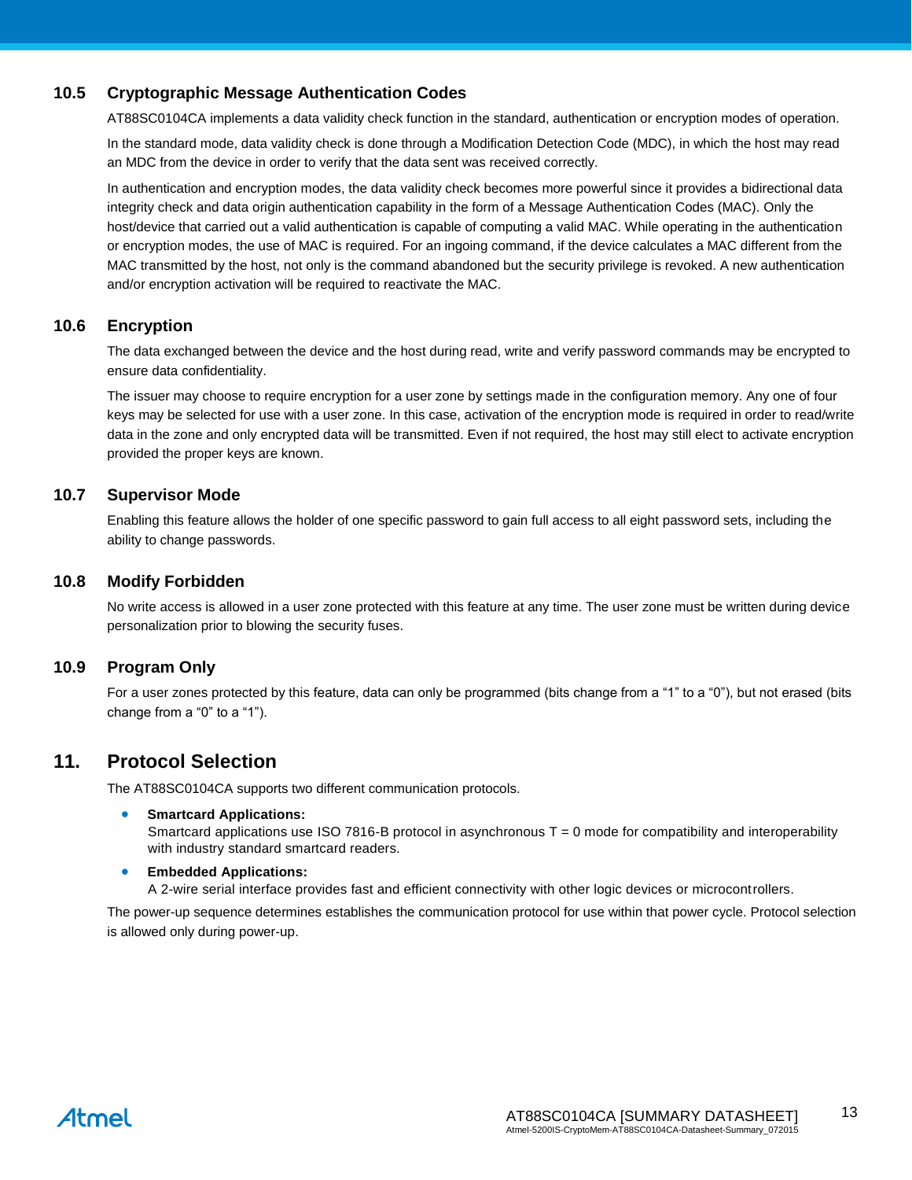### **10.5 Cryptographic Message Authentication Codes**

AT88SC0104CA implements a data validity check function in the standard, authentication or encryption modes of operation.

In the standard mode, data validity check is done through a Modification Detection Code (MDC), in which the host may read an MDC from the device in order to verify that the data sent was received correctly.

In authentication and encryption modes, the data validity check becomes more powerful since it provides a bidirectional data integrity check and data origin authentication capability in the form of a Message Authentication Codes (MAC). Only the host/device that carried out a valid authentication is capable of computing a valid MAC. While operating in the authentication or encryption modes, the use of MAC is required. For an ingoing command, if the device calculates a MAC different from the MAC transmitted by the host, not only is the command abandoned but the security privilege is revoked. A new authentication and/or encryption activation will be required to reactivate the MAC.

### **10.6 Encryption**

The data exchanged between the device and the host during read, write and verify password commands may be encrypted to ensure data confidentiality.

The issuer may choose to require encryption for a user zone by settings made in the configuration memory. Any one of four keys may be selected for use with a user zone. In this case, activation of the encryption mode is required in order to read/write data in the zone and only encrypted data will be transmitted. Even if not required, the host may still elect to activate encryption provided the proper keys are known.

### **10.7 Supervisor Mode**

Enabling this feature allows the holder of one specific password to gain full access to all eight password sets, including the ability to change passwords.

### **10.8 Modify Forbidden**

No write access is allowed in a user zone protected with this feature at any time. The user zone must be written during device personalization prior to blowing the security fuses.

### **10.9 Program Only**

For a user zones protected by this feature, data can only be programmed (bits change from a "1" to a "0"), but not erased (bits change from a "0" to a "1").

### **11. Protocol Selection**

The AT88SC0104CA supports two different communication protocols.

#### **Smartcard Applications:**

Smartcard applications use ISO 7816-B protocol in asynchronous  $T = 0$  mode for compatibility and interoperability with industry standard smartcard readers.

#### **•** Embedded Applications:

A 2-wire serial interface provides fast and efficient connectivity with other logic devices or microcontrollers.

The power-up sequence determines establishes the communication protocol for use within that power cycle. Protocol selection is allowed only during power-up.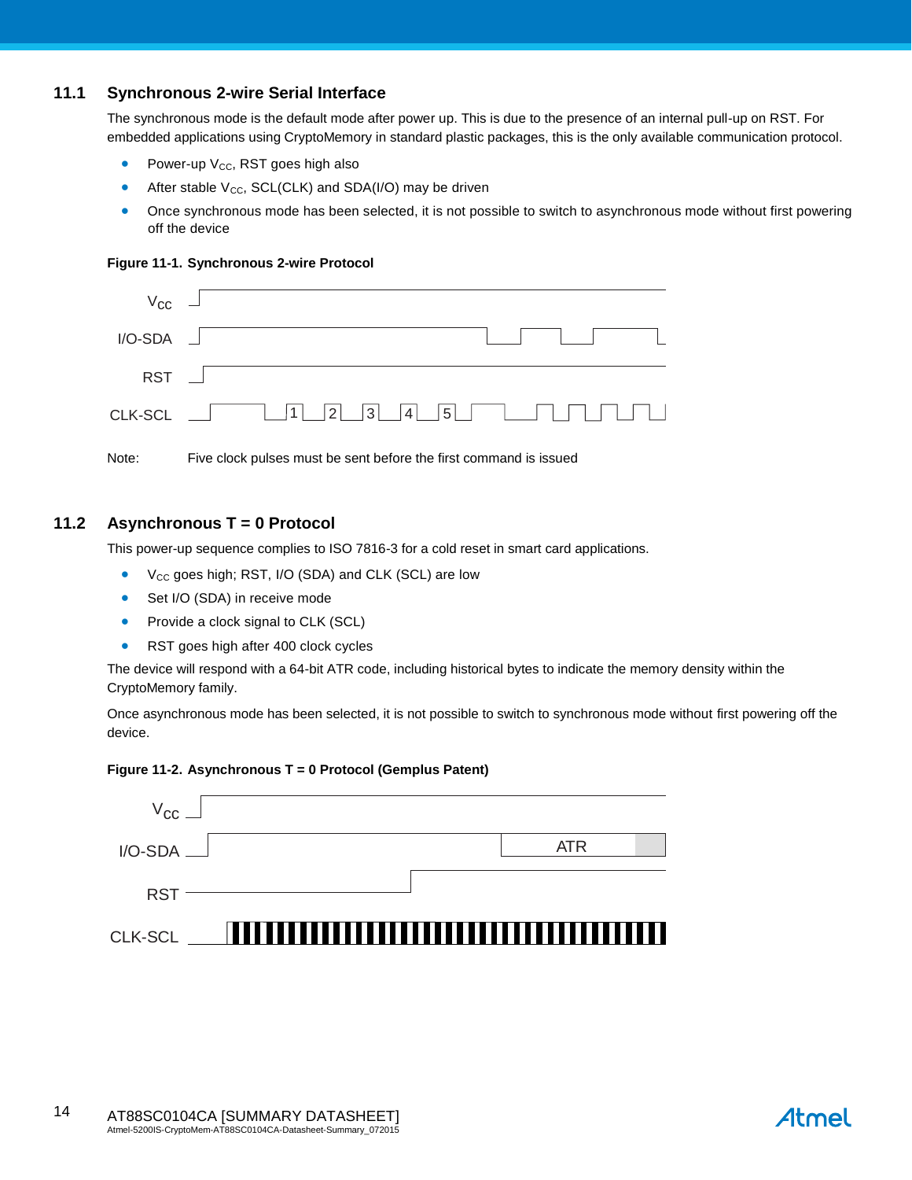### **11.1 Synchronous 2-wire Serial Interface**

The synchronous mode is the default mode after power up. This is due to the presence of an internal pull-up on RST. For embedded applications using CryptoMemory in standard plastic packages, this is the only available communication protocol.

- Power-up  $V_{CC}$ , RST goes high also
- After stable  $V_{CC}$ , SCL(CLK) and SDA(I/O) may be driven
- Once synchronous mode has been selected, it is not possible to switch to asynchronous mode without first powering off the device

#### **Figure 11-1. Synchronous 2-wire Protocol**

| $V_{\text{CC}}$ $\Box$ |                                                                   |
|------------------------|-------------------------------------------------------------------|
| $I/O-SDA$ $-$          |                                                                   |
| <b>RST</b>             |                                                                   |
|                        | CLK-SCL $\Box$ $\Box$ 1 $\Box$ 2 3 4 5 $\Box$ $\Box$ $\Box$       |
| Note:                  | Five clock pulses must be sent before the first command is issued |

## **11.2 Asynchronous T = 0 Protocol**

This power-up sequence complies to ISO 7816-3 for a cold reset in smart card applications.

- V<sub>cc</sub> goes high; RST, I/O (SDA) and CLK (SCL) are low
- Set I/O (SDA) in receive mode
- Provide a clock signal to CLK (SCL)
- RST goes high after 400 clock cycles

The device will respond with a 64-bit ATR code, including historical bytes to indicate the memory density within the CryptoMemory family.

Once asynchronous mode has been selected, it is not possible to switch to synchronous mode without first powering off the device.

#### **Figure 11-2. Asynchronous T = 0 Protocol (Gemplus Patent)**

| $V_{\rm GC}$    |  |            |  |
|-----------------|--|------------|--|
| $I/O-SDA$ $\_\$ |  | <b>ATR</b> |  |
| <b>RST</b>      |  |            |  |
| CLK-SCL         |  |            |  |

Atmel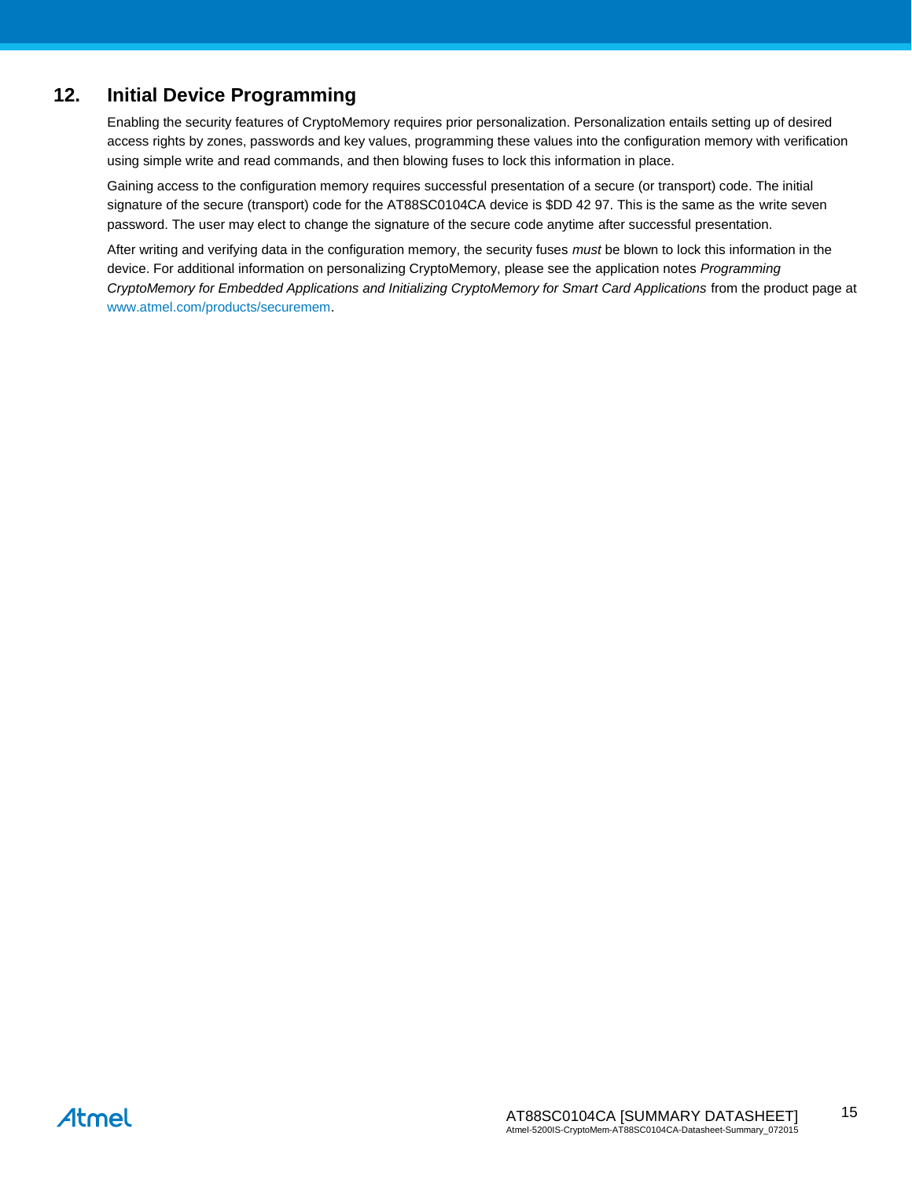### **12. Initial Device Programming**

Enabling the security features of CryptoMemory requires prior personalization. Personalization entails setting up of desired access rights by zones, passwords and key values, programming these values into the configuration memory with verification using simple write and read commands, and then blowing fuses to lock this information in place.

Gaining access to the configuration memory requires successful presentation of a secure (or transport) code. The initial signature of the secure (transport) code for the AT88SC0104CA device is \$DD 42 97. This is the same as the write seven password. The user may elect to change the signature of the secure code anytime after successful presentation.

After writing and verifying data in the configuration memory, the security fuses *must* be blown to lock this information in the device. For additional information on personalizing CryptoMemory, please see the application notes *Programming CryptoMemory for Embedded Applications and Initializing CryptoMemory for Smart Card Applications* from the product page at [www.atmel.com/products/securemem.](http://www.atmel.com/products/securemem)

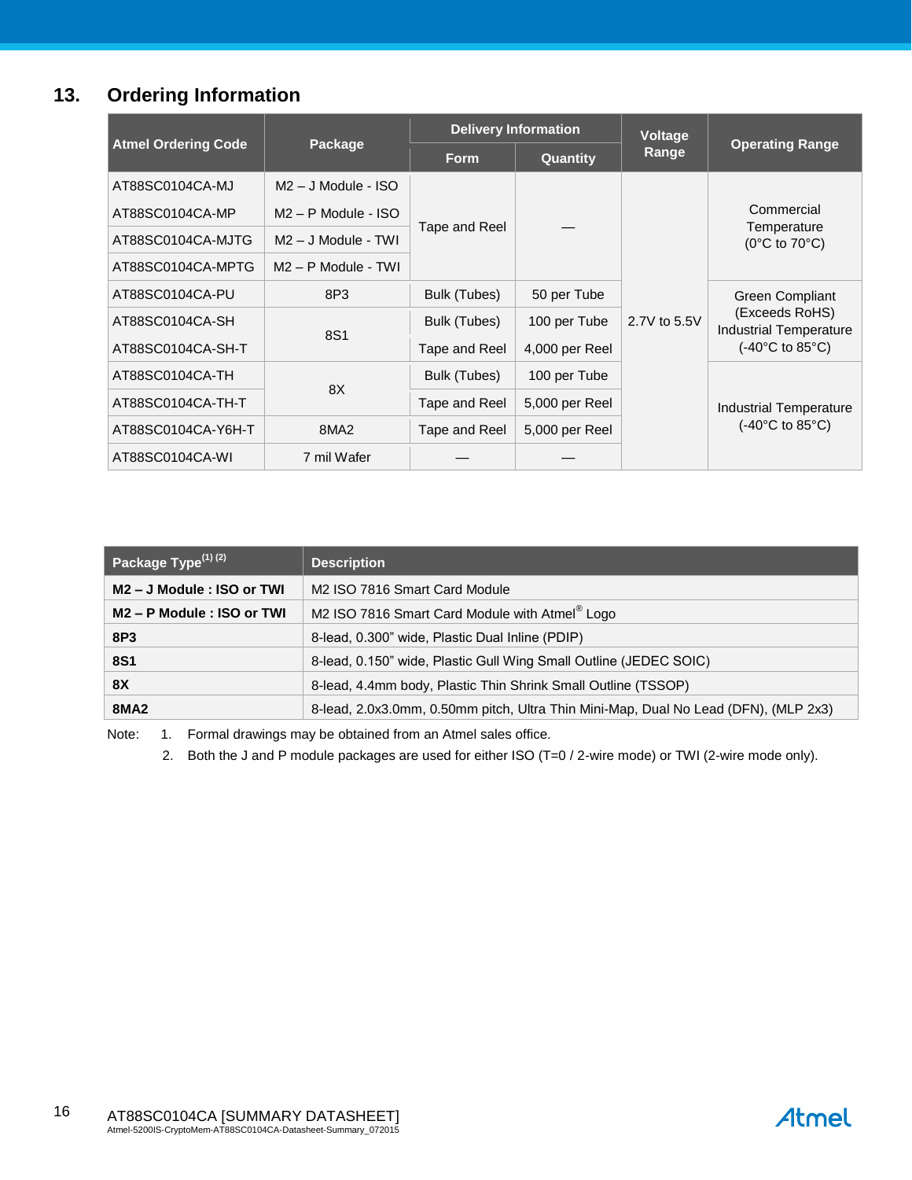# **13. Ordering Information**

|                            |                       |               | <b>Delivery Information</b> | <b>Voltage</b> |                                                                                         |  |
|----------------------------|-----------------------|---------------|-----------------------------|----------------|-----------------------------------------------------------------------------------------|--|
| <b>Atmel Ordering Code</b> | Package               | <b>Form</b>   | <b>Quantity</b>             | Range          | <b>Operating Range</b>                                                                  |  |
| AT88SC0104CA-MJ            | $M2 - J$ Module - ISO |               |                             |                |                                                                                         |  |
| AT88SC0104CA-MP            | $M2 - P$ Module - ISO | Tape and Reel |                             |                | Commercial                                                                              |  |
| AT88SC0104CA-MJTG          | $M2 - J$ Module - TWI |               |                             |                | Temperature<br>$(0^{\circ}C \text{ to } 70^{\circ}C)$                                   |  |
| AT88SC0104CA-MPTG          | $M2 - P$ Module - TWI |               |                             |                |                                                                                         |  |
| AT88SC0104CA-PU            | 8P3                   | Bulk (Tubes)  | 50 per Tube                 | 2.7V to 5.5V   | <b>Green Compliant</b>                                                                  |  |
| AT88SC0104CA-SH            |                       | Bulk (Tubes)  | 100 per Tube                |                | (Exceeds RoHS)<br><b>Industrial Temperature</b><br>$(-40^{\circ}$ C to 85 $^{\circ}$ C) |  |
| AT88SC0104CA-SH-T          | 8S1                   | Tape and Reel | 4,000 per Reel              |                |                                                                                         |  |
| AT88SC0104CA-TH            |                       | Bulk (Tubes)  | 100 per Tube                |                |                                                                                         |  |
| AT88SC0104CA-TH-T          | 8X                    | Tape and Reel | 5,000 per Reel              |                | Industrial Temperature                                                                  |  |
| AT88SC0104CA-Y6H-T         | 8MA <sub>2</sub>      | Tape and Reel | 5,000 per Reel              |                | $(-40^{\circ}$ C to 85 $^{\circ}$ C)                                                    |  |
| AT88SC0104CA-WI            | 7 mil Wafer           |               |                             |                |                                                                                         |  |

| Package Type <sup>(1)(2)</sup>         | <b>Description</b>                                                                  |
|----------------------------------------|-------------------------------------------------------------------------------------|
| M2 – J Module : ISO or TWI             | M <sub>2</sub> ISO 7816 Smart Card Module                                           |
| M <sub>2</sub> – P Module : ISO or TWI | M2 ISO 7816 Smart Card Module with Atmel <sup>®</sup> Logo                          |
| 8P3                                    | 8-lead, 0.300" wide, Plastic Dual Inline (PDIP)                                     |
| <b>8S1</b>                             | 8-lead, 0.150" wide, Plastic Gull Wing Small Outline (JEDEC SOIC)                   |
| 8X                                     | 8-lead, 4.4mm body, Plastic Thin Shrink Small Outline (TSSOP)                       |
| <b>8MA2</b>                            | 8-lead, 2.0x3.0mm, 0.50mm pitch, Ultra Thin Mini-Map, Dual No Lead (DFN), (MLP 2x3) |

Note: 1. Formal drawings may be obtained from an Atmel sales office.

2. Both the J and P module packages are used for either ISO (T=0 / 2-wire mode) or TWI (2-wire mode only).

**Atmel**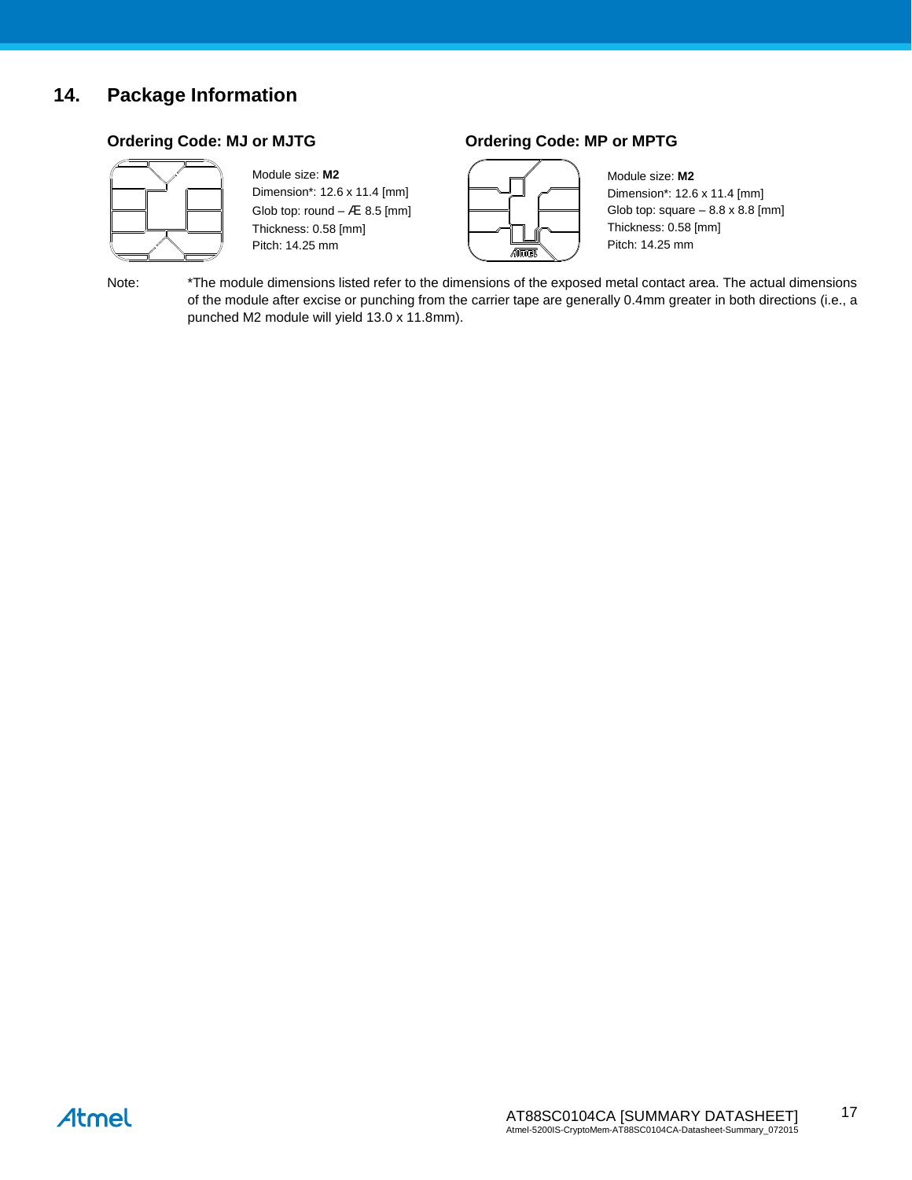## **14. Package Information**



#### Module size: **M2** Dimension\*: 12.6 x 11.4 [mm]

Glob top: round  $-$  Æ 8.5 [mm] Thickness: 0.58 [mm] Pitch: 14.25 mm

### **Ordering Code: MJ or MJTG Ordering Code: MP or MPTG**



Module size: **M2** Dimension\*: 12.6 x 11.4 [mm] Glob top: square  $-8.8 \times 8.8$  [mm] Thickness: 0.58 [mm] Pitch: 14.25 mm

Note: \*The module dimensions listed refer to the dimensions of the exposed metal contact area. The actual dimensions of the module after excise or punching from the carrier tape are generally 0.4mm greater in both directions (i.e., a punched M2 module will yield 13.0 x 11.8mm).

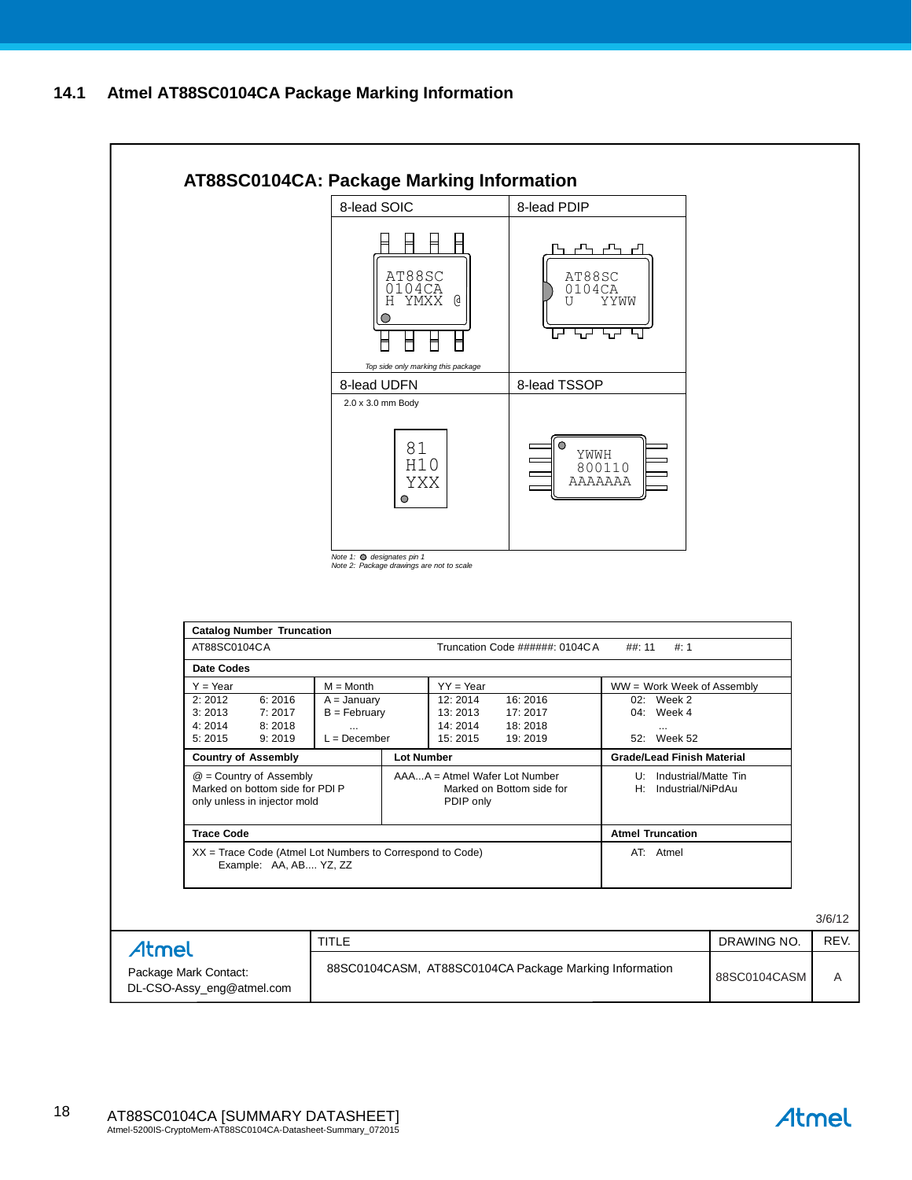### **14.1 Atmel AT88SC0104CA Package Marking Information**



Atmel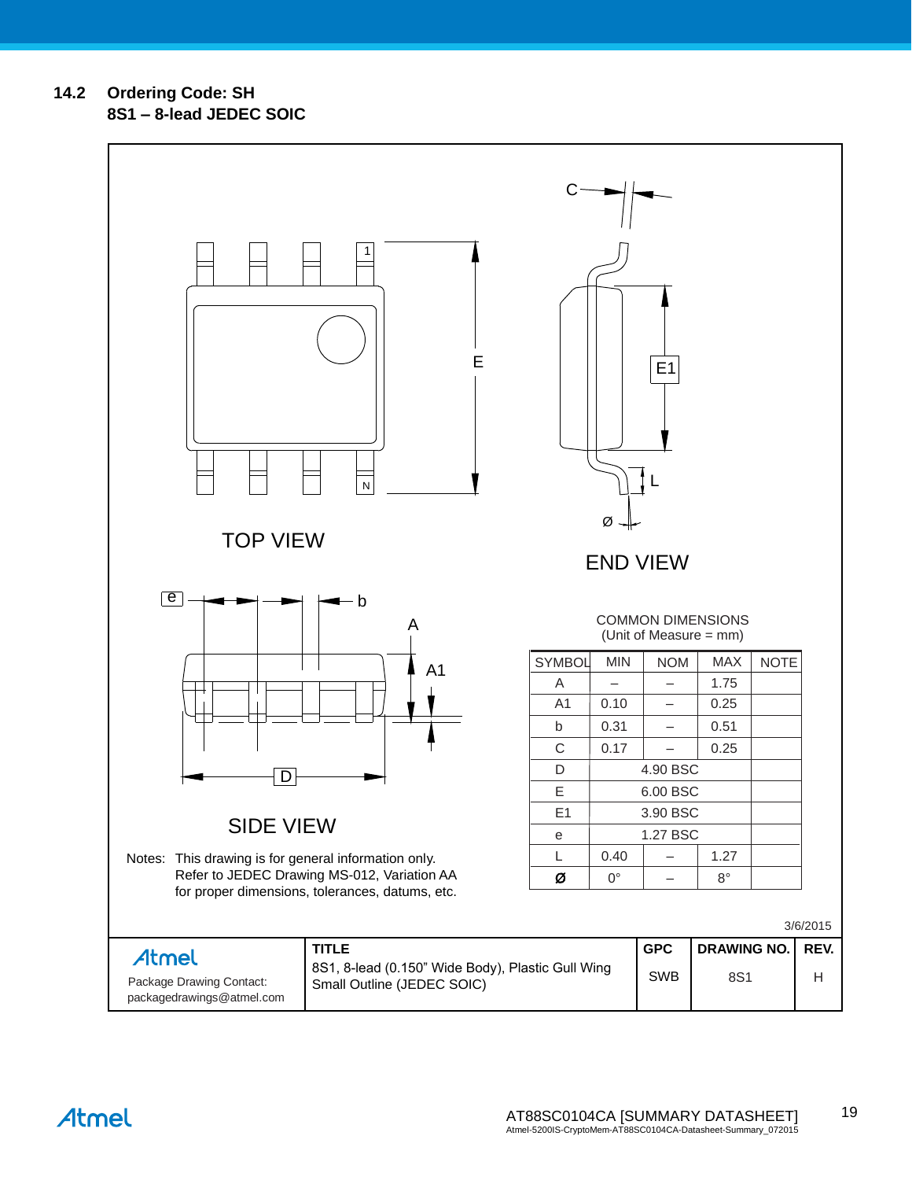**14.2 Ordering Code: SH**

Atmel

**8S1 – 8-lead JEDEC SOIC**

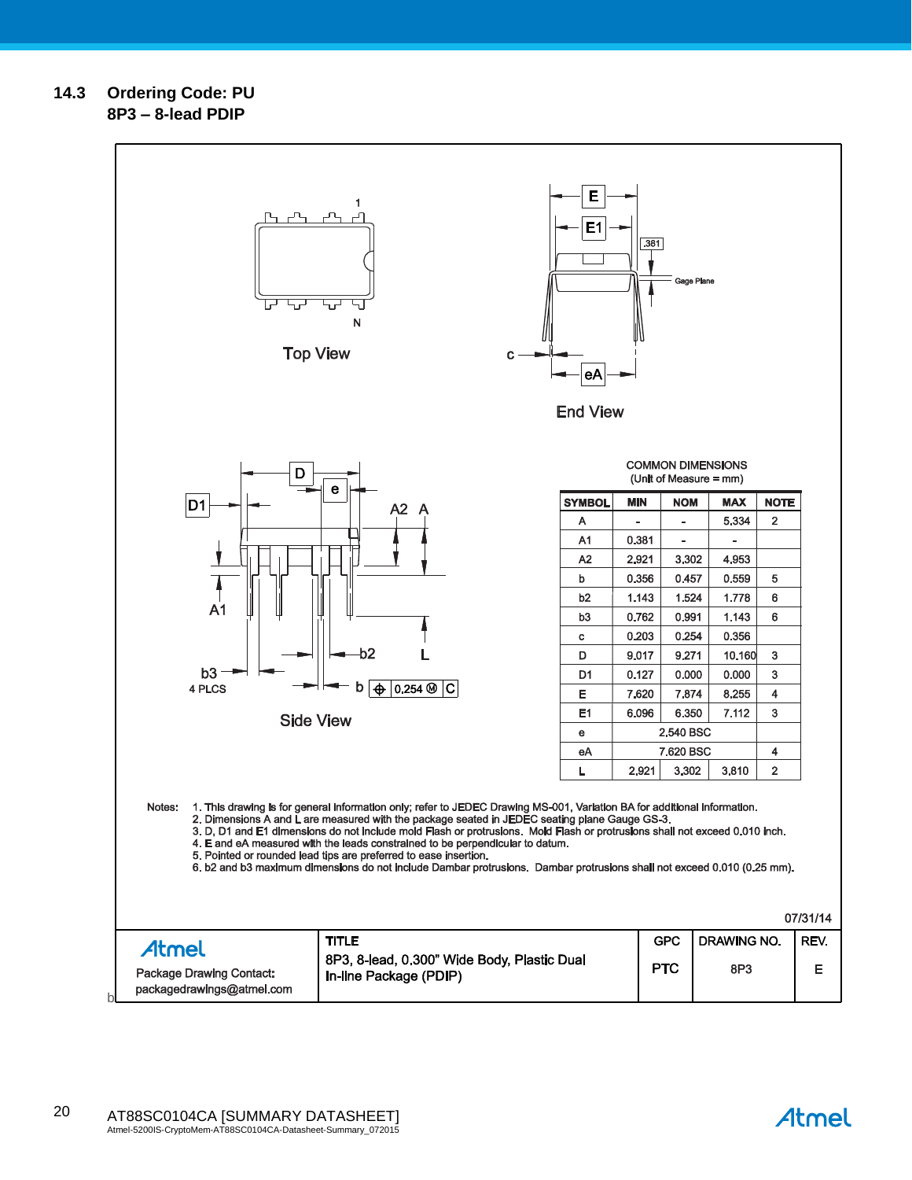### **14.3 Ordering Code: PU 8P3 – 8-lead PDIP**



Atmel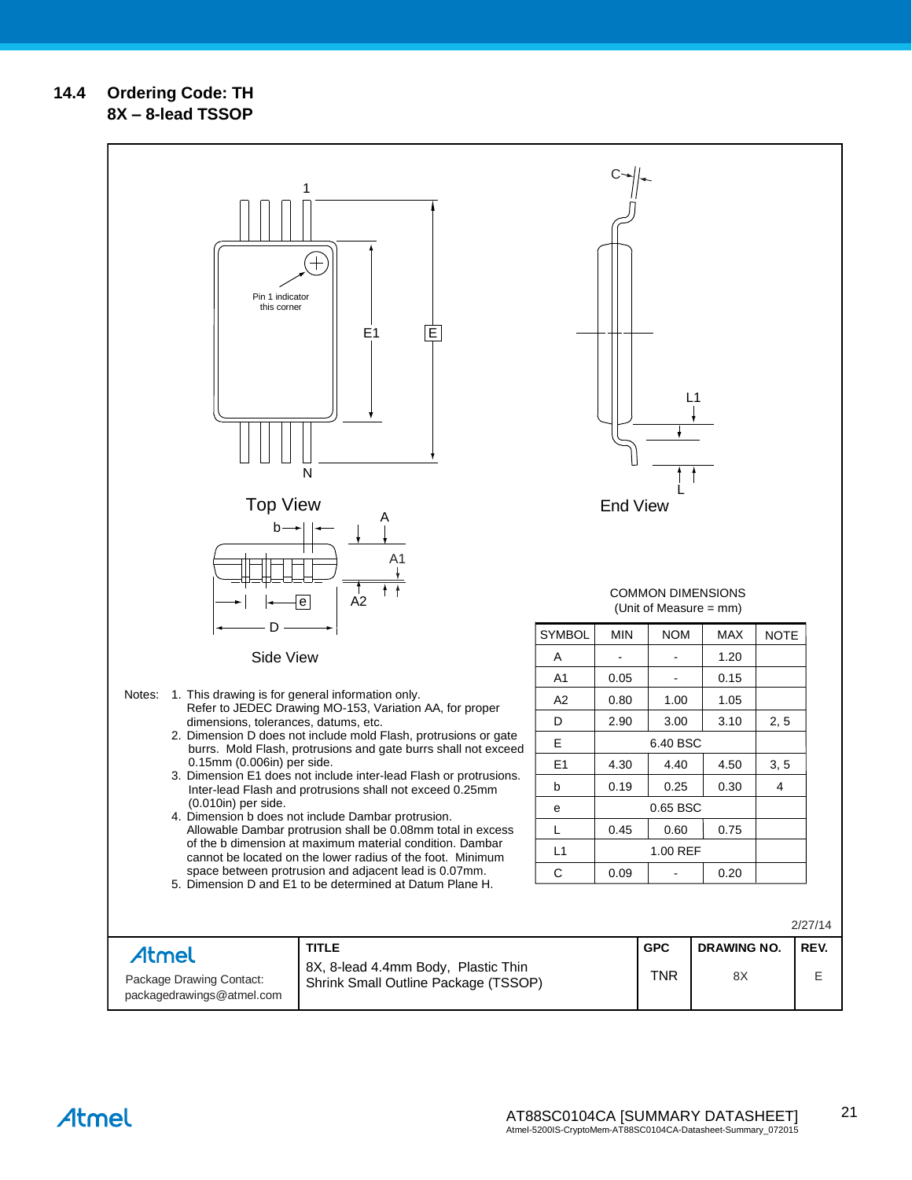### **14.4 Ordering Code: TH 8X – 8-lead TSSOP**

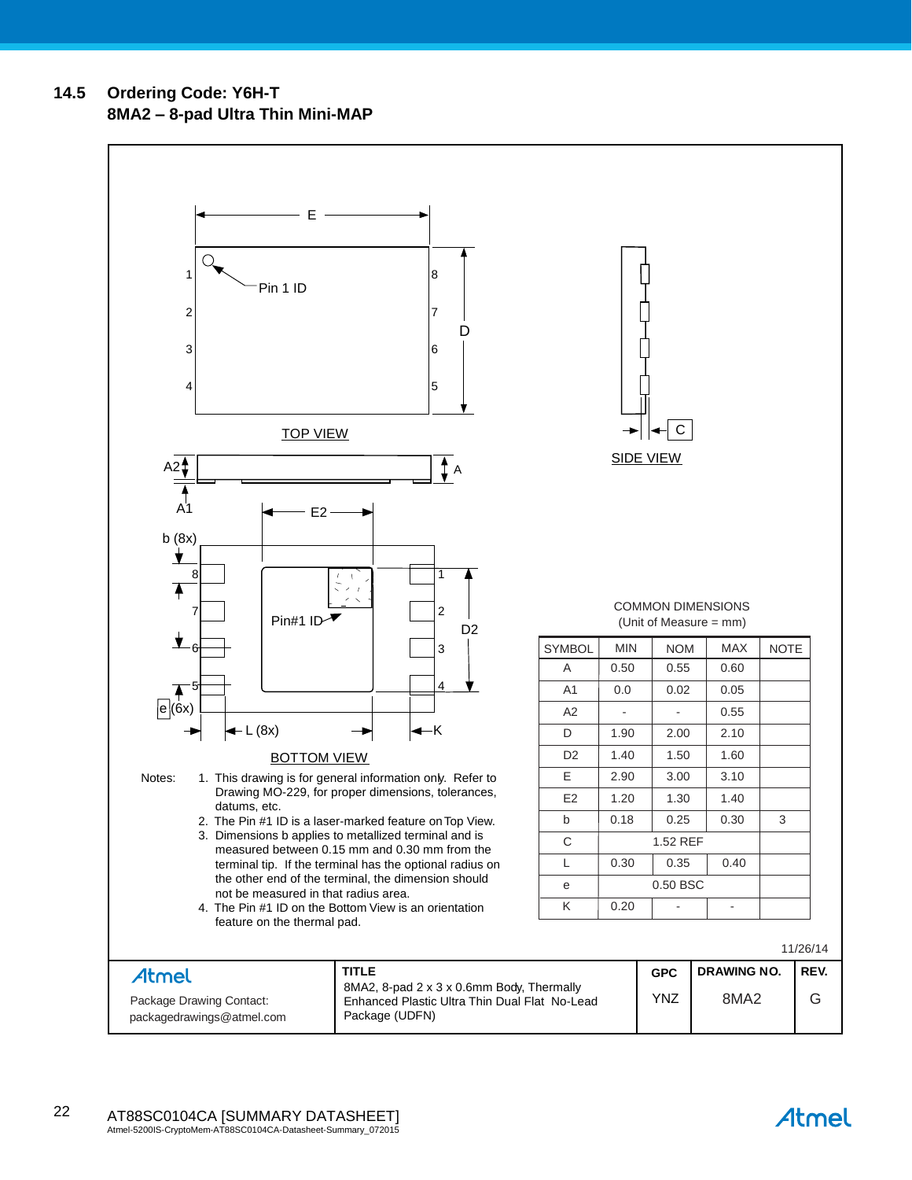**14.5 Ordering Code: Y6H-T 8MA2 – 8-pad Ultra Thin Mini-MAP**



Atmel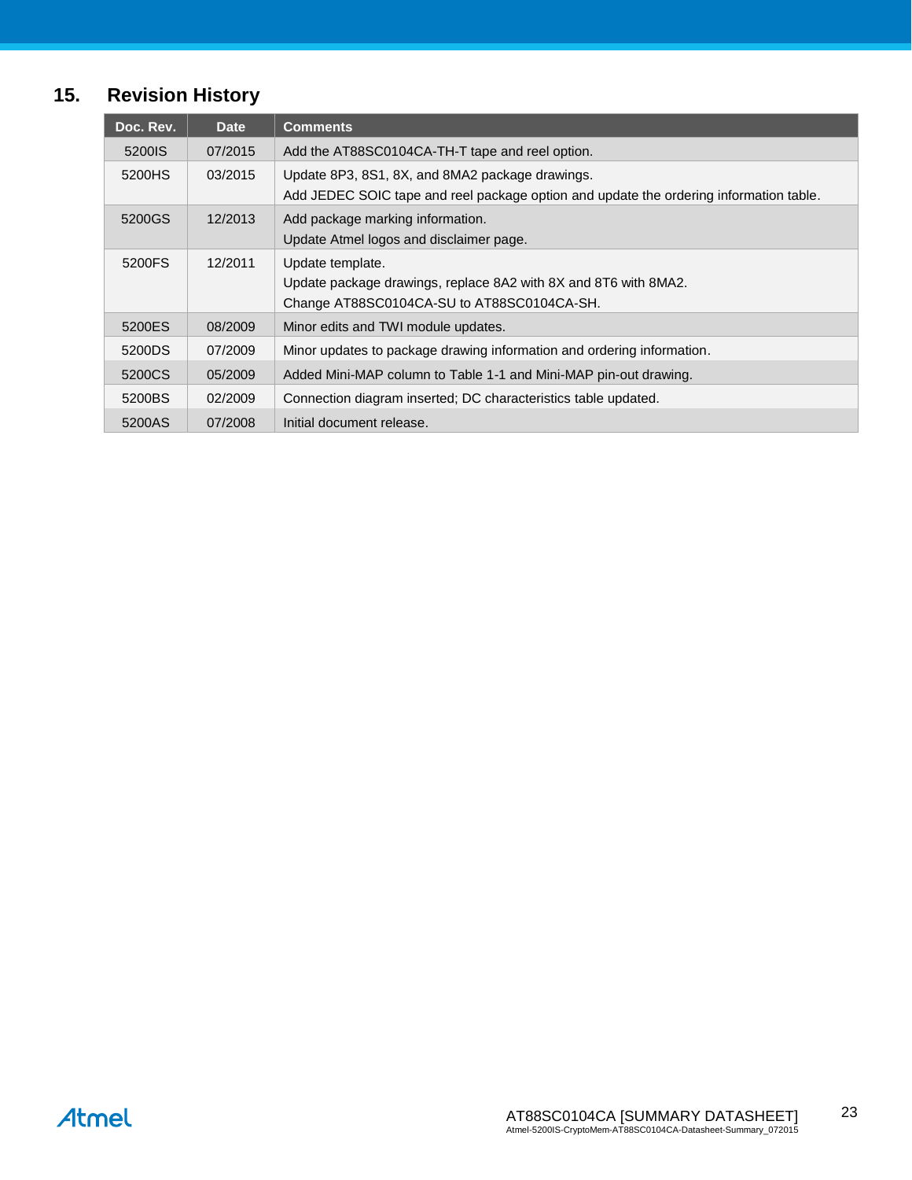# **15. Revision History**

| Doc. Rev.          | <b>Date</b> | <b>Comments</b>                                                                                                                           |
|--------------------|-------------|-------------------------------------------------------------------------------------------------------------------------------------------|
| 5200 <sub>IS</sub> | 07/2015     | Add the AT88SC0104CA-TH-T tape and reel option.                                                                                           |
| 5200HS             | 03/2015     | Update 8P3, 8S1, 8X, and 8MA2 package drawings.<br>Add JEDEC SOIC tape and reel package option and update the ordering information table. |
| 5200GS             | 12/2013     | Add package marking information.<br>Update Atmel logos and disclaimer page.                                                               |
| 5200FS             | 12/2011     | Update template.<br>Update package drawings, replace 8A2 with 8X and 8T6 with 8MA2.<br>Change AT88SC0104CA-SU to AT88SC0104CA-SH.         |
| 5200ES             | 08/2009     | Minor edits and TWI module updates.                                                                                                       |
| 5200DS             | 07/2009     | Minor updates to package drawing information and ordering information.                                                                    |
| 5200CS             | 05/2009     | Added Mini-MAP column to Table 1-1 and Mini-MAP pin-out drawing.                                                                          |
| 5200BS             | 02/2009     | Connection diagram inserted; DC characteristics table updated.                                                                            |
| 5200AS             | 07/2008     | Initial document release.                                                                                                                 |